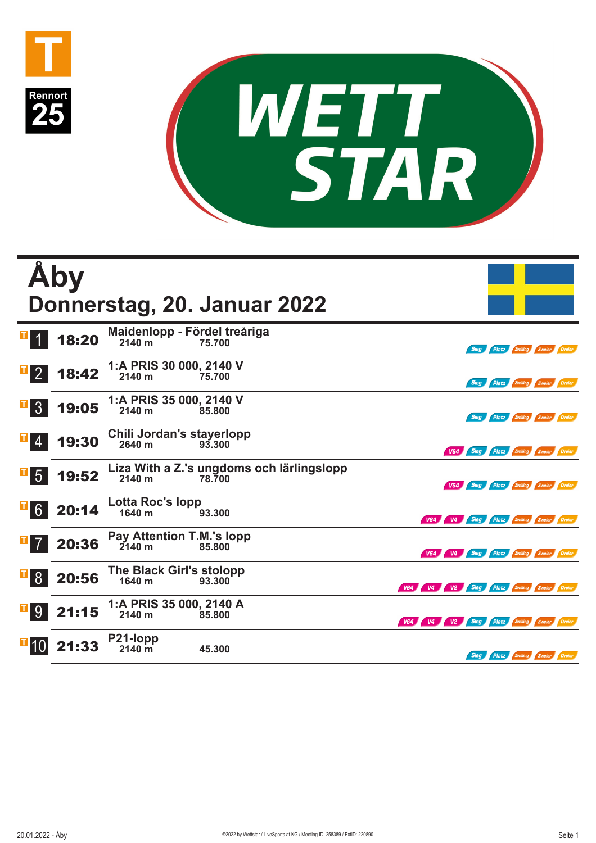



|                | <b>Aby</b> |                                               | Donnerstag, 20. Januar 2022                         |                                             |                                               |  |
|----------------|------------|-----------------------------------------------|-----------------------------------------------------|---------------------------------------------|-----------------------------------------------|--|
|                | 18:20      | Maidenlopp - Fördel treåriga<br>2140 m        | 75.700                                              |                                             | Platz Zwilling Zweier Dreier<br>Sieg          |  |
| $\mathbf{F}$ 2 | 18:42      | 1:A PRIS 30 000, 2140 V<br>2140 m             | 75.700                                              |                                             | Sieg Platz Zwilling Zweier Dreier             |  |
| 3 <sup>1</sup> | 19:05      | 1:A PRIS 35 000, 2140 V<br>2140 m             | 85.800                                              |                                             | Sieg Platz Zwilling Zweier Dreier             |  |
| 4              | 19:30      | Chili Jordan's stayerlopp<br>2640 m           | 93.300                                              |                                             | V64 Sieg Platz Zwilling Zweier Dreier         |  |
| 5 <sup>5</sup> | 19:52      | 2140 m                                        | Liza With a Z.'s ungdoms och lärlingslopp<br>78.700 |                                             | V64 Sieg Platz Zwilling Zweier Dreier         |  |
| $\mathbf{F}$ 6 | 20:14      | <b>Lotta Roc's lopp</b><br>1640 m             | 93.300                                              |                                             | V64 V4 Sieg Platz Zwilling Zweier Dreier      |  |
| $7^{\circ}$    | 20:36      | Pay Attention T.M.'s lopp<br>$2140 \text{ m}$ | 85.800                                              |                                             | V64 V4 Sieg Platz Zwilling Zweier Dreier      |  |
| 8              | 20:56      | The Black Girl's stolopp<br>1640 m            | 93,300                                              | V64 V4 V2 Sieg Platz Zwilling Zweier Dreier |                                               |  |
| 9 <sup>°</sup> | 21:15      | 1:A PRIS 35 000, 2140 A<br>2140 m             | 85,800                                              | V64 V4 V2 Sieg Platz Zwilling Zweier Dreier |                                               |  |
|                | 21:33      | <b>P21-lopp</b><br>2140 m                     | 45.300                                              |                                             | <b>Platz Zwilling Zweier Dreier</b><br>Sieg / |  |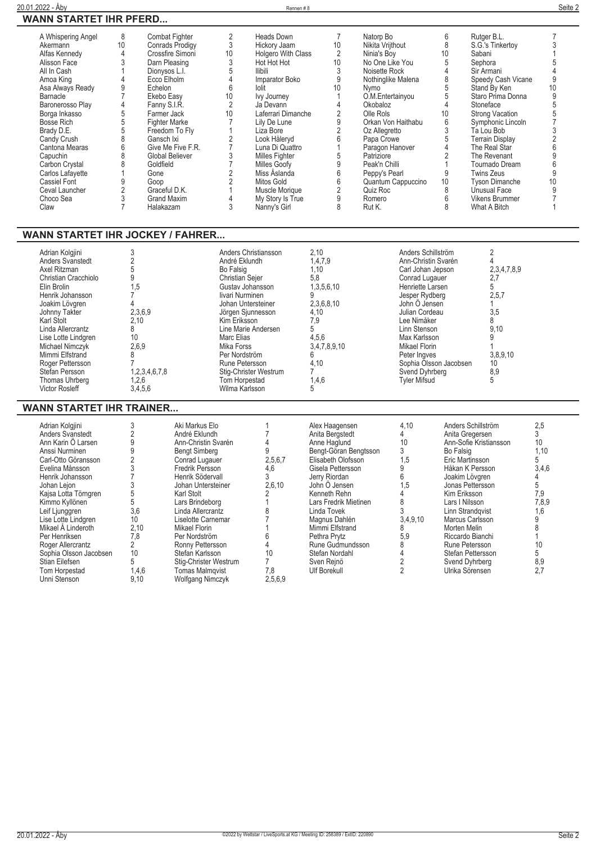|--|--|

| WANN SIAKIEI IHK PFEKD                                                                                                                                                                                                                                                                                                                                                                      |                                                                                                                                                   |                                                                                                                                                                                                                                                                                                                                        |                                                                                                                                                                                                                                                                               |                                                                                                                                                                                                                                                                                                                                                      |                                                                                                                                                                                                       |                                                                                                                                                                                                                                                                                                                                           |                                                                                                                                                                                                                          |                                                                                                                                                                                                                                                                                                                                                                                             |                                                                                                                                                                                                             |
|---------------------------------------------------------------------------------------------------------------------------------------------------------------------------------------------------------------------------------------------------------------------------------------------------------------------------------------------------------------------------------------------|---------------------------------------------------------------------------------------------------------------------------------------------------|----------------------------------------------------------------------------------------------------------------------------------------------------------------------------------------------------------------------------------------------------------------------------------------------------------------------------------------|-------------------------------------------------------------------------------------------------------------------------------------------------------------------------------------------------------------------------------------------------------------------------------|------------------------------------------------------------------------------------------------------------------------------------------------------------------------------------------------------------------------------------------------------------------------------------------------------------------------------------------------------|-------------------------------------------------------------------------------------------------------------------------------------------------------------------------------------------------------|-------------------------------------------------------------------------------------------------------------------------------------------------------------------------------------------------------------------------------------------------------------------------------------------------------------------------------------------|--------------------------------------------------------------------------------------------------------------------------------------------------------------------------------------------------------------------------|---------------------------------------------------------------------------------------------------------------------------------------------------------------------------------------------------------------------------------------------------------------------------------------------------------------------------------------------------------------------------------------------|-------------------------------------------------------------------------------------------------------------------------------------------------------------------------------------------------------------|
| A Whispering Angel<br>Akermann<br>Alfas Kennedy<br>Alisson Face<br>All In Cash<br>Amoa King<br>Asa Always Ready<br>Barnacle<br>Baronerosso Plav<br>Borga Inkasso<br><b>Bosse Rich</b><br>Brady D.E.<br>Candy Crush<br>Cantona Mearas<br>Capuchin<br>Carbon Crystal<br>Carlos Lafavette<br>Cassiel Font<br>Ceval Launcher<br>Choco Sea<br>Claw                                               | 8<br>10<br>4<br>3<br>4<br>9<br>4<br>5<br>5<br>5<br>8<br>6<br>8<br>8<br>Gone<br>9<br>Goop<br>2<br>3<br>$\overline{7}$                              | Combat Fighter<br><b>Conrads Prodigy</b><br>Crossfire Simoni<br>Darn Pleasing<br>Dionysos L.I.<br>Ecco Elholm<br>Echelon<br>Ekebo Easy<br>Fanny S.I.R.<br>Farmer Jack<br><b>Fighter Marke</b><br>Freedom To Fly<br>Gansch Ixi<br>Give Me Five F.R.<br>Global Believer<br>Goldfield<br>Graceful D.K.<br><b>Grand Maxim</b><br>Halakazam | $\overline{2}$<br>$\mathfrak{Z}$<br>10<br>$\mathsf 3$<br>5<br>$\overline{4}$<br>6<br>10<br>$\overline{2}$<br>10<br>$\overline{7}$<br>$\mathbf{1}$<br>$\frac{2}{7}$<br>3<br>$\overline{7}$<br>$\overline{c}$<br>$\sqrt{2}$<br>$\mathbf{1}$<br>$\overline{4}$<br>$\overline{3}$ | Heads Down<br>Hickory Jaam<br>Holgero With Class<br>Hot Hot Hot<br><b>Ilibili</b><br>Imparator Boko<br>lolit<br>Ivy Journey<br>Ja Devann<br>Laferrari Dimanche<br>Lily De Lune<br>Liza Bore<br>Look Håleryd<br>Luna Di Quattro<br>Milles Fighter<br>Milles Goofy<br>Miss Åslanda<br>Mitos Gold<br>Muscle Morique<br>My Story Is True<br>Nanny's Girl | $\overline{7}$<br>10<br>2<br>10<br>3<br>9<br>10<br>1<br>$\overline{4}$<br>$\sqrt{2}$<br>9<br>$\sqrt{2}$<br>6<br>$\overline{1}$<br>5<br>$\mathsf g$<br>$\overline{6}$<br>$\,6\,$<br>$\frac{2}{9}$<br>8 | Natorp Bo<br>Nikita Vrijthout<br>Ninia's Boy<br>No One Like You<br>Noisette Rock<br>Nothinglike Malena<br>Nymo<br>O.M.Entertainyou<br>Okobaloz<br>Olle Rols<br>Orkan Von Haithabu<br>Oz Allegretto<br>Papa Crowe<br>Paragon Hanover<br>Patriziore<br>Peak'n Chilli<br>Peppy's Pearl<br>Quantum Cappuccino<br>Quiz Roc<br>Romero<br>Rut K. | 6<br>8<br>10<br>5<br>$\overline{4}$<br>8<br>5<br>$\overline{5}$<br>$\overline{4}$<br>10<br>6<br>$\ensuremath{\mathsf{3}}$<br>$\,$ 5 $\,$<br>$\overline{4}$<br>$\overline{2}$<br>$\overline{1}$<br>9<br>10<br>8<br>6<br>8 | Rutger B.L.<br>S.G.'s Tinkertoy<br>Sabani<br>Sephora<br>Sir Armani<br>Speedy Cash Vicane<br>Stand By Ken<br>Staro Prima Donna<br>Stoneface<br><b>Strong Vacation</b><br>Symphonic Lincoln<br>Ta Lou Bob<br><b>Terrain Display</b><br>The Real Star<br>The Revenant<br>Tournado Dream<br><b>Twins Zeus</b><br><b>Tyson Dimanche</b><br>Unusual Face<br><b>Vikens Brummer</b><br>What A Bitch | 7<br>3<br>5<br>$\overline{\Lambda}$<br>9<br>10<br>9<br>5<br>5<br>$\overline{7}$<br>3<br>$\overline{c}$<br>$6\phantom{a}$<br>$\overline{9}$<br>$6\phantom{a}$<br>$\overline{9}$<br>10<br>9<br>$\overline{7}$ |
| <b>WANN STARTET IHR JOCKEY / FAHRER</b><br>Adrian Kolgjini<br>Anders Svanstedt<br>Axel Ritzman<br>Christian Cracchiolo<br>Elin Brolin<br>Henrik Johansson<br>Joakim Lövgren<br>Johnny Takter<br><b>Karl Stolt</b><br>Linda Allercrantz<br>Lise Lotte Lindgren<br><b>Michael Nimczvk</b><br>Mimmi Elfstrand<br>Roger Pettersson<br>Stefan Persson<br>Thomas Uhrberg<br><b>Victor Rosleff</b> | 3<br>$\overline{2}$<br>5<br>9<br>1,5<br>$\overline{7}$<br>4<br>2,3,6,9<br>2.10<br>8<br>10<br>2,6,9<br>8<br>7<br>1,2,3,4,6,7,8<br>1,2,6<br>3,4,5,6 |                                                                                                                                                                                                                                                                                                                                        | André Eklundh<br>Bo Falsig<br>Christian Sejer<br>Gustav Johansson<br>livari Nurminen<br>Johan Untersteiner<br>Jörgen Sjunnesson<br>Kim Eriksson<br>Marc Elias<br><b>Mika Forss</b><br>Per Nordström<br>Rune Petersson<br>Tom Horpestad<br>Wilma Karlsson                      | Anders Christiansson<br>Line Marie Andersen<br>Stig-Christer Westrum                                                                                                                                                                                                                                                                                 | 2.10<br>1,4,7,9<br>1.10<br>5,8<br>1,3,5,6,10<br>9<br>2,3,6,8,10<br>4,10<br>7,9<br>5<br>4,5,6<br>3,4,7,8,9,10<br>6<br>4.10<br>$\overline{7}$<br>1,4,6<br>5                                             | Anders Schillström<br>Ann-Christin Svarén<br>Carl Johan Jepson<br>Conrad Lugauer<br>Henriette Larsen<br>Jesper Rydberg<br>John Ö Jensen<br>Julian Cordeau<br>Lee Nimåker<br>Linn Stenson<br>Max Karlsson<br>Mikael Florin<br>Peter Ingves<br>Svend Dyhrberg<br><b>Tyler Mifsud</b>                                                        | Sophia Olsson Jacobsen                                                                                                                                                                                                   | $\overline{2}$<br>4<br>2,3,4,7,8,9<br>2,7<br>5<br>2,5,7<br>1<br>3,5<br>8<br>9,10<br>9<br>3,8,9,10<br>10<br>8,9<br>5                                                                                                                                                                                                                                                                         |                                                                                                                                                                                                             |

## **WANN STARTET IHR TRAINER...**

| Adrian Kolgjini        |       | Aki Markus Elo         |         | Alex Haagensen        | 4,10     | Anders Schillström     | 2,5   |
|------------------------|-------|------------------------|---------|-----------------------|----------|------------------------|-------|
| Anders Svanstedt       |       | André Eklundh          |         | Anita Bergstedt       |          | Anita Gregersen        |       |
| Ann Karin O Larsen     |       | Ann-Christin Svarén    |         | Anne Haglund          | 10       | Ann-Sofie Kristiansson | 10    |
| Anssi Nurminen         |       | <b>Bengt Simberg</b>   |         | Bengt-Göran Bengtsson |          | Bo Falsig              | 1,10  |
| Carl-Otto Göransson    |       | Conrad Lugauer         | 2,5,6,7 | Elisabeth Olofsson    | 1,5      | Eric Martinsson        |       |
| Evelina Månsson        |       | Fredrik Persson        | 4,6     | Gisela Pettersson     |          | Håkan K Persson        | 3,4,6 |
| Henrik Johansson       |       | Henrik Södervall       |         | Jerry Riordan         | h        | Joakim Lövgren         |       |
| Johan Leion            |       | Johan Untersteiner     | 2,6,10  | John Ö Jensen         | 1,5      | Jonas Pettersson       |       |
| Kajsa Lotta Törngren   |       | Karl Stolt             |         | Kenneth Rehn          |          | Kim Eriksson           | 7.9   |
| Kimmo Kyllönen         |       | Lars Brindeborg        |         | Lars Fredrik Mietinen |          | Lars I Nilsson         | 7,8,9 |
| Leif Ljunggren         | 3,6   | Linda Allercrantz      |         | Linda Tovek           |          | Linn Strandgvist       | 1,6   |
| Lise Lotte Lindgren    | 10    | Liselotte Carnemar     |         | Magnus Dahlén         | 3,4,9,10 | Marcus Carlsson        |       |
| Mikael A Linderoth     | 2,10  | Mikael Florin          |         | Mimmi Elfstrand       | ŏ        | Morten Melin           |       |
| Per Henriksen          | 7,8   | Per Nordström          |         | Pethra Prvtz          | 5,9      | Riccardo Bianchi       |       |
| Roger Allercrantz      |       | Ronny Pettersson       |         | Rune Gudmundsson      | ŏ        | Rune Petersson         | 10    |
| Sophia Olsson Jacobsen | 10    | Stefan Karlsson        | 10      | Stefan Nordahl        |          | Stefan Pettersson      |       |
| Stian Eilefsen         |       | Stig-Christer Westrum  |         | Sven Rejnö            |          | Svend Dyhrberg         | 8,9   |
| Tom Horpestad          | 1,4,6 | <b>Tomas Malmqvist</b> | 7,8     | <b>Ulf Borekull</b>   |          | Ulrika Sörensen        | 2,7   |
| Unni Stenson           | 9,10  | Wolfgang Nimczyk       | 2,5,6,9 |                       |          |                        |       |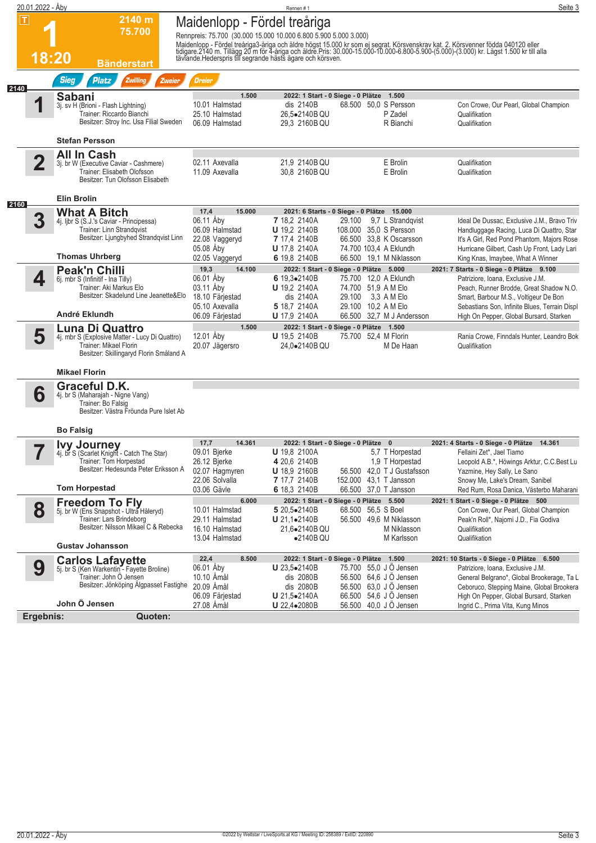|                         |                                                                                                                                                                       |                                                                                                            | Rennen#1                                                                                                 |                                                                                                                                | Seite 3                                                                                                                                                                                                                                                                                                                                                                                                                                                                                                                                                                                                                                                                                                                      |
|-------------------------|-----------------------------------------------------------------------------------------------------------------------------------------------------------------------|------------------------------------------------------------------------------------------------------------|----------------------------------------------------------------------------------------------------------|--------------------------------------------------------------------------------------------------------------------------------|------------------------------------------------------------------------------------------------------------------------------------------------------------------------------------------------------------------------------------------------------------------------------------------------------------------------------------------------------------------------------------------------------------------------------------------------------------------------------------------------------------------------------------------------------------------------------------------------------------------------------------------------------------------------------------------------------------------------------|
|                         | 2140 m<br>75.700<br><b>Bänderstart</b>                                                                                                                                |                                                                                                            |                                                                                                          |                                                                                                                                |                                                                                                                                                                                                                                                                                                                                                                                                                                                                                                                                                                                                                                                                                                                              |
|                         | <b>Sieg</b><br>Zwilling<br><b>Platz</b><br>Zweier                                                                                                                     | <b>Dreier</b>                                                                                              |                                                                                                          |                                                                                                                                |                                                                                                                                                                                                                                                                                                                                                                                                                                                                                                                                                                                                                                                                                                                              |
|                         | <b>Sabani</b><br>3j. sv H (Brioni - Flash Lightning)<br>Trainer: Riccardo Bianchi<br>Besitzer: Stroy Inc. Usa Filial Sweden                                           | 1.500<br>10.01 Halmstad<br>25.10 Halmstad<br>06.09 Halmstad                                                | dis 2140B<br>26,5.2140B QU<br>29.3 2160B QU                                                              | 68.500 50,0 S Persson<br>P Zadel<br>R Bianchi                                                                                  | Con Crowe, Our Pearl, Global Champion<br>Qualifikation<br>Qualifikation                                                                                                                                                                                                                                                                                                                                                                                                                                                                                                                                                                                                                                                      |
|                         | <b>Stefan Persson</b>                                                                                                                                                 |                                                                                                            |                                                                                                          |                                                                                                                                |                                                                                                                                                                                                                                                                                                                                                                                                                                                                                                                                                                                                                                                                                                                              |
| $\overline{\mathbf{2}}$ | <b>All In Cash</b><br>3j. br W (Executive Caviar - Cashmere)<br>Trainer: Elisabeth Olofsson<br>Besitzer: Tun Olofsson Elisabeth                                       | 02.11 Axevalla<br>11.09 Axevalla                                                                           | 21,9 2140B QU<br>30,8 2160B QU                                                                           | E Brolin<br>E Brolin                                                                                                           | Qualifikation<br>Qualifikation                                                                                                                                                                                                                                                                                                                                                                                                                                                                                                                                                                                                                                                                                               |
|                         | <b>Elin Brolin</b>                                                                                                                                                    |                                                                                                            |                                                                                                          |                                                                                                                                |                                                                                                                                                                                                                                                                                                                                                                                                                                                                                                                                                                                                                                                                                                                              |
|                         | <b>What A Bitch</b><br>4j. ljbr S (S.J.'s Caviar - Principessa)<br>Trainer: Linn Strandqvist<br>Besitzer: Ljungbyhed Strandqvist Linn                                 | 17,4<br>15,000<br>06.11 Åby<br>06.09 Halmstad<br>22.08 Vaggeryd                                            | 7 18.2 2140A<br><b>U</b> 19,2 2140B<br>7 17,4 2140B                                                      | 9.7 L Strandovist<br>29.100<br>66.500 33.8 K Oscarsson                                                                         | Ideal De Dussac, Exclusive J.M., Bravo Triv<br>Handluggage Racing, Luca Di Quattro, Star<br>It's A Girl, Red Pond Phantom, Majors Rose                                                                                                                                                                                                                                                                                                                                                                                                                                                                                                                                                                                       |
|                         | <b>Thomas Uhrberg</b>                                                                                                                                                 |                                                                                                            |                                                                                                          | 66.500 19.1 M Niklasson                                                                                                        | Hurricane Gilbert, Cash Up Front, Lady Lari<br>King Knas, Imaybee, What A Winner                                                                                                                                                                                                                                                                                                                                                                                                                                                                                                                                                                                                                                             |
| 4                       | <b>Peak'n Chilli</b><br>6j. mbr S (Infinitif - Ina Tilly)<br>Trainer: Aki Markus Elo<br>Besitzer: Skadelund Line Jeanette&Elo                                         | 19,3<br>14.100<br>06.01 Åby<br>03.11 Åby<br>18.10 Färjestad                                                | 6 19,3•2140B<br><b>U</b> 19.2 2140A<br>dis 2140A                                                         | 75.700 12,0 A Eklundh<br>74.700 51,9 A M Elo<br>29.100<br>3.3 A M Elo                                                          | 2021: 7 Starts - 0 Siege - 0 Plätze 9.100<br>Patriziore, Ioana, Exclusive J.M.<br>Peach, Runner Brodde, Great Shadow N.O.<br>Smart, Barbour M.S., Voltigeur De Bon<br>Sebastians Son, Infinite Blues, Terrain Displ                                                                                                                                                                                                                                                                                                                                                                                                                                                                                                          |
|                         | André Eklundh                                                                                                                                                         | 06.09 Färjestad                                                                                            | <b>U</b> 17,9 2140A                                                                                      | 66.500 32.7 M J Andersson                                                                                                      | High On Pepper, Global Bursard, Starken                                                                                                                                                                                                                                                                                                                                                                                                                                                                                                                                                                                                                                                                                      |
| 5                       | Luna Di Quattro<br>4j. mbr S (Explosive Matter - Lucy Di Quattro)<br>Trainer: Mikael Florin<br>Besitzer: Skillingaryd Florin Småland A                                | 1.500<br>12.01 Aby<br>20.07 Jägersro                                                                       | <b>U</b> 19,5 2140B<br>24,0.2140B QU                                                                     | 75.700 52,4 M Florin<br>M De Haan                                                                                              | Rania Crowe, Finndals Hunter, Leandro Bok<br>Qualifikation                                                                                                                                                                                                                                                                                                                                                                                                                                                                                                                                                                                                                                                                   |
|                         | <b>Mikael Florin</b>                                                                                                                                                  |                                                                                                            |                                                                                                          |                                                                                                                                |                                                                                                                                                                                                                                                                                                                                                                                                                                                                                                                                                                                                                                                                                                                              |
| 6                       | Graceful D.K.<br>4j. br S (Maharajah - Nigne Vang)<br>Trainer: Bo Falsig<br>Besitzer: Västra Fröunda Pure Islet Ab                                                    |                                                                                                            |                                                                                                          |                                                                                                                                |                                                                                                                                                                                                                                                                                                                                                                                                                                                                                                                                                                                                                                                                                                                              |
|                         | <b>Bo Falsig</b>                                                                                                                                                      |                                                                                                            |                                                                                                          |                                                                                                                                |                                                                                                                                                                                                                                                                                                                                                                                                                                                                                                                                                                                                                                                                                                                              |
|                         | Trainer: Tom Horpestad<br>Besitzer: Hedesunda Peter Eriksson A                                                                                                        | 17,7<br>14.361<br>09.01 Bjerke<br>26.12 Bjerke<br>02.07 Hagmyren                                           | <b>U</b> 19,8 2100A<br>4 20,6 2140B<br><b>U</b> 18,9 2160B                                               | 5,7 T Horpestad<br>1,9 T Horpestad<br>56.500 42,0 T J Gustafsson                                                               | 2021: 4 Starts - 0 Siege - 0 Plätze 14.361<br>Fellaini Zet*, Jael Tiamo<br>Leopold A.B.*, Höwings Arktur, C.C.Best Lu<br>Yazmine, Hey Sally, Le Sano                                                                                                                                                                                                                                                                                                                                                                                                                                                                                                                                                                         |
|                         | <b>Tom Horpestad</b>                                                                                                                                                  | 03.06 Gävle                                                                                                | 6 18,3 2140B                                                                                             | 66.500 37,0 T Jansson                                                                                                          | Snowy Me, Lake's Dream, Sanibel<br>Red Rum, Rosa Danica, Västerbo Maharani                                                                                                                                                                                                                                                                                                                                                                                                                                                                                                                                                                                                                                                   |
| 8                       | <b>Freedom To Fly</b><br>5j. br W (Ens Snapshot - Ultra Håleryd)<br>Trainer: Lars Brindeborg<br>Besitzer: Nilsson Mikael C & Rebecka<br><b>Gustav Johansson</b>       | 6.000<br>10.01 Halmstad<br>29.11 Halmstad<br>16.10 Halmstad<br>13.04 Halmstad                              | 5 20,5.2140B<br>U 21,1.2140B<br>21,6●2140B QU<br>$\bullet$ 2140B QU                                      | 68.500 56,5 S Boel<br>56.500 49,6 M Niklasson<br>M Niklasson<br>M Karlsson                                                     | 2021: 1 Start - 0 Siege - 0 Plätze 500<br>Con Crowe, Our Pearl, Global Champion<br>Peak'n Roll*, Najomi J.D., Fia Godiva<br>Qualifikation<br>Qualifikation                                                                                                                                                                                                                                                                                                                                                                                                                                                                                                                                                                   |
| 9                       | <b>Carlos Lafayette</b><br>5j. br S (Ken Warkentin - Fayette Broline)<br>Trainer: John Ö Jensen<br>Besitzer: Jönköping Älgpasset Fastighe<br>John Ö Jensen<br>Quoten: | 22,4<br>8.500<br>06.01 Åby<br>10.10 Amål<br>20.09 Åmål<br>06.09 Färjestad<br>27.08 Amål                    | <b>U</b> 23,5 $\bullet$ 2140B<br>dis 2080B<br>dis 2080B<br>U 21,5.2140A<br><b>U</b> 22,4 $\bullet$ 2080B | 75.700 55,0 J Ö Jensen<br>56.500 64,6 J O Jensen<br>56.500 63,0 J O Jensen<br>66.500 54,6 J Ö Jensen<br>56.500 40,0 J Ö Jensen | 2021: 10 Starts - 0 Siege - 0 Plätze 6.500<br>Patriziore, Ioana, Exclusive J.M.<br>General Belgrano*, Global Brookerage, Ta L<br>Ceboruco, Stepping Maine, Global Brookera<br>High On Pepper, Global Bursard, Starken<br>Ingrid C., Prima Vita, Kung Minos                                                                                                                                                                                                                                                                                                                                                                                                                                                                   |
|                         | $ \mathsf{T} $<br>2140<br>2160                                                                                                                                        | 20.01.2022 - Åby<br>18:20<br><b>Ivy Journey</b><br>4j. br S (Scarlet Knight - Catch The Star)<br>Ergebnis: | 05.08 Aby<br>02.05 Vaggeryd<br>05.10 Axevalla<br>22.06 Solvalla                                          | Maidenlopp - Fördel treåriga<br><b>U</b> 17,8 2140A<br>6 19.8 2140B<br>5 18,7 2140A<br>7 17,7 2140B                            | Rennpreis: 75.700 (30.000 15.000 10.000 6.800 5.900 5.000 3.000)<br>Maidenlopp - Fördel treåriga3-åriga och äldre högst 15.000 kr som ej segrat. Körsvenskrav kat. 2. Körsvenner födda 040120 eller<br>tidigare.2140 m. Tillägg 20 m för 4-åriga och äldre.Pris: 30.000-15.000-10.000-6.800-5.900-(5.<br>2022: 1 Start - 0 Siege - 0 Plätze 1.500<br>2021: 6 Starts - 0 Siege - 0 Plätze 15.000<br>108.000 35,0 S Persson<br>74.700 103,4 A Eklundh<br>2022: 1 Start - 0 Siege - 0 Plätze 5.000<br>29.100 10,2 A M Elo<br>2022: 1 Start - 0 Siege - 0 Plätze 1.500<br>2022: 1 Start - 0 Siege - 0 Plätze 0<br>152.000 43,1 T Jansson<br>2022: 1 Start - 0 Siege - 0 Plätze 5.500<br>2022: 1 Start - 0 Siege - 0 Plätze 1.500 |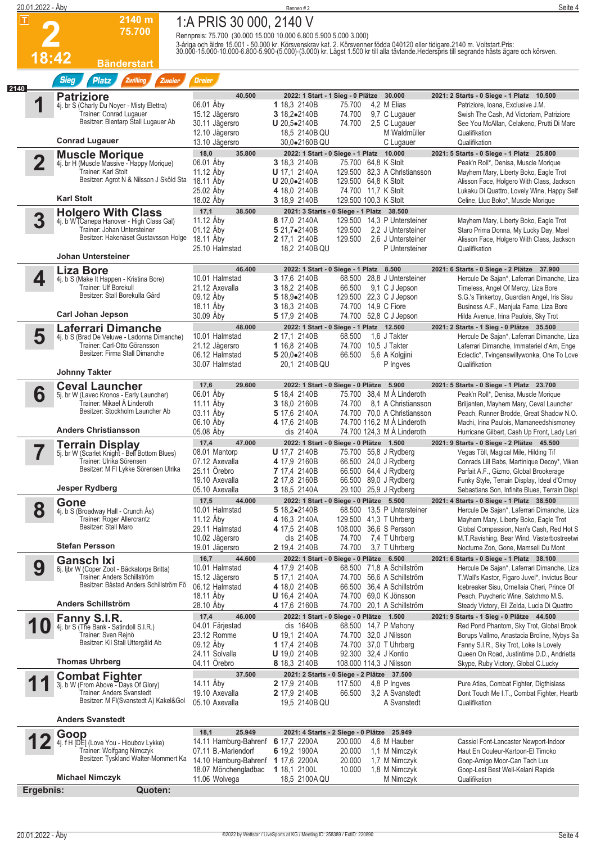| 20.01.2022 - Åby        |                                                                            |                                                                  | Rennen #2                           |                                                                        | Seite 4                                                                                                                                                                                                                           |
|-------------------------|----------------------------------------------------------------------------|------------------------------------------------------------------|-------------------------------------|------------------------------------------------------------------------|-----------------------------------------------------------------------------------------------------------------------------------------------------------------------------------------------------------------------------------|
| $ \mathbf{T} $          | 2140 m                                                                     | 1:A PRIS 30 000, 2140 V                                          |                                     |                                                                        |                                                                                                                                                                                                                                   |
|                         | 75.700                                                                     | Rennpreis: 75.700 (30.000 15.000 10.000 6.800 5.900 5.000 3.000) |                                     |                                                                        |                                                                                                                                                                                                                                   |
|                         |                                                                            |                                                                  |                                     |                                                                        | 3-åriga och äldre 15.001 - 50.000 kr. Körsvenskrav kat. 2. Körsvenner födda 040120 eller tidigare.2140 m. Voltstart.Pris:<br>30.000-15.000-10.000-6.800-5.900-(5.000)-(3.000) kr. Lägst 1.500 kr till alla tävlande.Hederspris ti |
| 18:42                   | <b>Bänderstart</b>                                                         |                                                                  |                                     |                                                                        |                                                                                                                                                                                                                                   |
|                         | <b>Sieg</b><br>Zwilling<br><b>Platz</b><br>Zweier                          | <b>Dreier</b>                                                    |                                     |                                                                        |                                                                                                                                                                                                                                   |
| 2140                    |                                                                            |                                                                  |                                     |                                                                        |                                                                                                                                                                                                                                   |
| 1                       | <b>Patriziore</b><br>4j. br S (Charly Du Noyer - Misty Elettra)            | 40.500<br>06.01 Åby                                              | 1 18,3 2140B                        | 2022: 1 Start - 1 Sieg - 0 Plätze 30.000<br>75.700<br>4,2 M Elias      | 2021: 2 Starts - 0 Siege - 1 Platz 10.500<br>Patriziore, Ioana, Exclusive J.M.                                                                                                                                                    |
|                         | Trainer: Conrad Lugauer<br>Besitzer: Blentarp Stall Lugauer Ab             | 15.12 Jägersro                                                   | 3 18,2.2140B                        | 74.700<br>9,7 C Lugauer                                                | Swish The Cash, Ad Victoriam, Patriziore                                                                                                                                                                                          |
|                         |                                                                            | 30.11 Jägersro<br>12.10 Jägersro                                 | U 20,5.2140B<br>18,5 2140B QU       | 74.700<br>2,5 C Lugauer<br>M Waldmüller                                | See You McAllan, Celakeno, Prutti Di Mare<br>Qualifikation                                                                                                                                                                        |
|                         | <b>Conrad Lugauer</b>                                                      | 13.10 Jägersro                                                   | 30,0.2160B QU                       | C Lugauer                                                              | Qualifikation                                                                                                                                                                                                                     |
| $\overline{\mathbf{2}}$ | <b>Muscle Morique</b>                                                      | 18,0<br>35.800<br>06.01 Åby                                      | 3 18,3 2140B                        | 2022: 1 Start - 0 Siege - 1 Platz 10.000<br>75.700 64,8 K Stolt        | 2021: 5 Starts - 0 Siege - 1 Platz 25.800<br>Peak'n Roll*, Denisa, Muscle Morique                                                                                                                                                 |
|                         | 4j. br H (Muscle Massive - Happy Morique)<br>Trainer: Karl Stolt           | 11.12 Aby                                                        | <b>U</b> 17,1 2140A                 | 129.500 82,3 A Christiansson                                           | Mayhem Mary, Liberty Boko, Eagle Trot                                                                                                                                                                                             |
|                         | Besitzer: Agrot N & Nilsson J Sköld Sta                                    | 18.11 Åby                                                        | $U 20,0-2140B$                      | 129.500 64,8 K Stolt                                                   | Alisson Face, Holgero With Class, Jackson                                                                                                                                                                                         |
|                         | <b>Karl Stolt</b>                                                          | 25.02 Aby<br>18.02 Åby                                           | 4 18,0 2140B<br>3 18,9 2140B        | 74.700 11,7 K Stolt<br>129.500 100,3 K Stolt                           | Lukaku Di Quattro, Lovely Wine, Happy Self<br>Celine, Lluc Boko*, Muscle Morique                                                                                                                                                  |
|                         | <b>Holgero With Class</b>                                                  | 17,1<br>38.500                                                   |                                     | 2021: 3 Starts - 0 Siege - 1 Platz 38.500                              |                                                                                                                                                                                                                                   |
| 3                       | 4j. b W (Canepa Hanover - High Class Gal)<br>Trainer: Johan Untersteiner   | 11.12 Åby<br>01.12 Aby                                           | 8 17,0 2140A<br>5 21,7.2140B        | 129.500 14,3 P Untersteiner<br>2,2 J Untersteiner<br>129.500           | Mayhem Mary, Liberty Boko, Eagle Trot<br>Staro Prima Donna, My Lucky Day, Mael                                                                                                                                                    |
|                         | Besitzer: Hakenäset Gustavsson Holge                                       | 18.11 Åby                                                        | 2 17,1 2140B                        | 129.500<br>2.6 J Untersteiner                                          | Alisson Face, Holgero With Class, Jackson                                                                                                                                                                                         |
|                         | <b>Johan Untersteiner</b>                                                  | 25.10 Halmstad                                                   | 18.2 2140B QU                       | P Untersteiner                                                         | Qualifikation                                                                                                                                                                                                                     |
|                         | <b>Liza Bore</b>                                                           | 46.400                                                           |                                     | 2022: 1 Start - 0 Siege - 1 Platz 8.500                                | 2021: 6 Starts - 0 Siege - 2 Plätze 37.900                                                                                                                                                                                        |
| 4                       | 4j. b S (Make It Happen - Kristina Bore)                                   | 10.01 Halmstad                                                   | 3 17,6 2140B                        | 68.500 28.8 J Untersteiner                                             | Hercule De Sajan*, Laferrari Dimanche, Liza                                                                                                                                                                                       |
|                         | Trainer: Ulf Borekull<br>Besitzer: Stall Borekulla Gård                    | 21.12 Axevalla                                                   | 3 18,2 2140B                        | 66.500 9,1 C J Jepson                                                  | Timeless, Angel Of Mercy, Liza Bore                                                                                                                                                                                               |
|                         |                                                                            | 09.12 Åby<br>18.11 Aby                                           | 5 18,9•2140B<br>3 18,3 2140B        | 129.500 22,3 C J Jepson<br>74.700 14,9 C Fiore                         | S.G.'s Tinkertoy, Guardian Angel, Iris Sisu<br>Business A.F., Manjula Fame, Liza Bore                                                                                                                                             |
|                         | <b>Carl Johan Jepson</b>                                                   | 30.09 Aby                                                        | 5 17,9 2140B                        | 74.700 52,8 C J Jepson                                                 | Hilda Avenue, Irina Paulois, Sky Trot                                                                                                                                                                                             |
| 5                       | Laferrari Dimanche<br>4j. b S (Brad De Veluwe - Ladonna Dimanche)          | 48.000<br>10.01 Halmstad                                         | 2 17,1 2140B                        | 2022: 1 Start - 0 Siege - 1 Platz 12.500<br>68.500<br>1,6 J Takter     | 2021: 2 Starts - 1 Sieg - 0 Plätze 35.500<br>Hercule De Sajan*, Laferrari Dimanche, Liza                                                                                                                                          |
|                         | Trainer: Carl-Otto Göransson                                               | 21.12 Jägersro                                                   | 1 16,8 2140B                        | 74.700 10.5 J Takter                                                   | Laferrari Dimanche, Immateriel d'Am, Enge                                                                                                                                                                                         |
|                         | Besitzer: Firma Stall Dimanche                                             | 06.12 Halmstad                                                   | 5 20,0.2140B                        | 66.500<br>5,6 A Kolgjini                                               | Eclectic*, Tvingenswillywonka, One To Love                                                                                                                                                                                        |
|                         | <b>Johnny Takter</b>                                                       | 30.07 Halmstad                                                   | 20,1 2140B QU                       | P Ingves                                                               | Qualifikation                                                                                                                                                                                                                     |
|                         | <b>Ceval Launcher</b>                                                      | 17,6<br>29.600                                                   |                                     | 2022: 1 Start - 0 Siege - 0 Plätze 5.900                               | 2021: 5 Starts - 0 Siege - 1 Platz 23.700                                                                                                                                                                                         |
| 6                       | 5j. br W (Lavec Kronos - Early Launcher)<br>Trainer: Mikael Å Linderoth    | 06.01 Åby<br>11.11 Åby                                           | 5 18,4 2140B<br>3 18,0 2160B        | 75.700 38,4 M A Linderoth<br>74.700<br>8,1 A Christiansson             | Peak'n Roll*, Denisa, Muscle Morique<br>Briljanten, Mayhem Mary, Ceval Launcher                                                                                                                                                   |
|                         | Besitzer: Stockholm Launcher Ab                                            | 03.11 Aby                                                        | 5 17,6 2140A                        | 74.700 70,0 A Christiansson                                            | Peach, Runner Brodde, Great Shadow N.O.                                                                                                                                                                                           |
|                         | <b>Anders Christiansson</b>                                                | 06.10 Aby                                                        | 4 17,6 2140B                        | 74.700 116,2 M Å Linderoth                                             | Machi, Irina Paulois, Mamaneedshismoney                                                                                                                                                                                           |
|                         | <b>Terrain Display</b>                                                     | 05.08 Abv<br>17,4<br>47.000                                      | dis 2140A                           | 74.700 124,3 M A Linderoth<br>2022: 1 Start - 0 Siege - 0 Plätze 1.500 | Hurricane Gilbert, Cash Up Front, Lady Lari<br>2021: 9 Starts - 0 Siege - 2 Plätze 45.500                                                                                                                                         |
|                         | 5j. br W (Scarlet Knight - Bell Bottom Blues)                              | 08.01 Mantorp                                                    | <b>U</b> 17,7 2140B                 | 75.700 55,8 J Rydberg                                                  | Vegas Töll, Magical Mile, Hilding Tif                                                                                                                                                                                             |
|                         | Trainer: Ulrika Sörensen<br>Besitzer: M FI Lykke Sörensen Ulrika           | 07.12 Axevalla<br>25.11 Orebro                                   | 4 17,9 2160B<br>7 17,4 2140B        | 66.500 24,0 J Rydberg<br>66.500 64,4 J Rydberg                         | Conrads Lill Babs, Martinique Decoy*, Viken<br>Parfait A.F., Gizmo, Global Brookerage                                                                                                                                             |
|                         |                                                                            | 19.10 Axevalla                                                   | 2 17,8 2160B                        | 66.500 89,0 J Rydberg                                                  | Funky Style, Terrain Display, Ideal d'Ormoy                                                                                                                                                                                       |
|                         | <b>Jesper Rydberg</b>                                                      | 05.10 Axevalla                                                   | 3 18,5 2140A                        | 29.100 25,9 J Rydberg                                                  | Sebastians Son, Infinite Blues, Terrain Displ                                                                                                                                                                                     |
| 8                       | Gone<br>4j. b S (Broadway Hall - Crunch Ås)                                | 17,5<br>44.000<br>10.01 Halmstad                                 | 5 18,2.2140B                        | 2022: 1 Start - 0 Siege - 0 Plätze 5.500<br>68.500 13,5 P Untersteiner | 2021: 4 Starts - 0 Siege - 1 Platz 38.500<br>Hercule De Sajan*, Laferrari Dimanche, Liza                                                                                                                                          |
|                         | Trainer: Roger Allercrantz                                                 | 11.12 Åby                                                        | 4 16,3 2140A                        | 129.500 41,3 T Uhrberg                                                 | Mayhem Mary, Liberty Boko, Eagle Trot                                                                                                                                                                                             |
|                         | Besitzer: Stall Maro                                                       | 29.11 Halmstad<br>10.02 Jägersro                                 | 4 17,5 2140B<br>dis 2140B           | 108.000 36,6 S Persson<br>74.700<br>7,4 T Uhrberg                      | Global Compassion, Nan's Cash, Red Hot S<br>M.T.Ravishing, Bear Wind, Västerbostreetwi                                                                                                                                            |
|                         | <b>Stefan Persson</b>                                                      | 19.01 Jägersro                                                   | 2 19,4 2140B                        | 74.700<br>3.7 T Uhrberg                                                | Nocturne Zon, Gone, Mamsell Du Mont                                                                                                                                                                                               |
|                         | <b>Gansch Ixi</b>                                                          | 16,7<br>44.600                                                   |                                     | 2022: 1 Start - 0 Siege - 0 Plätze 6.500                               | 2021: 6 Starts - 0 Siege - 1 Platz 38.100                                                                                                                                                                                         |
| 9                       | 6j. ljbr W (Coper Zoot - Bäckatorps Britta)<br>Trainer: Anders Schillström | 10.01 Halmstad<br>15.12 Jägersro                                 | 4 17,9 2140B<br>5 17,1 2140A        | 68.500 71,8 A Schillström<br>74.700 56,6 A Schillström                 | Hercule De Sajan*, Laferrari Dimanche, Liza<br>T. Wall's Kastor, Figaro Juvel*, Invictus Bour                                                                                                                                     |
|                         | Besitzer: Båstad Anders Schillström Fö                                     | 06.12 Halmstad                                                   | 4 18,0 2140B                        | 66.500 36,4 A Schillström                                              | Icebreaker Sisu, Ornellaia Cheri, Prince Of                                                                                                                                                                                       |
|                         | Anders Schillström                                                         | 18.11 Aby<br>28.10 Aby                                           | <b>U</b> 16,4 2140A<br>4 17,6 2160B | 74.700 69.0 K Jönsson<br>74.700 20,1 A Schillström                     | Peach, Puycheric Wine, Satchmo M.S.<br>Steady Victory, Eli Zelda, Lucia Di Quattro                                                                                                                                                |
|                         | Fanny S.I.R.                                                               | 17,4<br>46.000                                                   |                                     | 2022: 1 Start - 0 Siege - 0 Plätze 1.500                               | 2021: 9 Starts - 1 Sieg - 0 Plätze 44.500                                                                                                                                                                                         |
|                         | 4j. br S (The Bank - Satindoll S.I.R.)                                     | 04.01 Färjestad                                                  | dis 1640B                           | 68.500 14,7 P Mahony                                                   | Red Pond Phantom, Sky Trot, Global Brook                                                                                                                                                                                          |
|                         | Trainer: Sven Rejnö<br>Besitzer: Kil Stall Uttergäld Ab                    | 23.12 Romme<br>09.12 Åby                                         | <b>U</b> 19,1 2140A<br>1 17,4 2140B | 74.700 32,0 J Nilsson<br>74.700 37,0 T Uhrberg                         | Borups Vallmo, Anastacia Broline, Nybys Sa<br>Fanny S.I.R., Sky Trot, Loke Is Lovely                                                                                                                                              |
|                         |                                                                            | 24.11 Solvalla                                                   | <b>U</b> 19,0 2140B                 | 92.300 32,4 J Kontio                                                   | Queen On Road, Justintime D.D., Andrietta                                                                                                                                                                                         |
|                         | <b>Thomas Uhrberg</b>                                                      | 04.11 Orebro                                                     | 8 18,3 2140B                        | 108.000 114,3 J Nilsson                                                | Skype, Ruby Victory, Global C.Lucky                                                                                                                                                                                               |
|                         | <b>Combat Fighter</b><br>3j. b W (From Above - Days Of Glory)              | 37.500<br>14.11 Åby                                              | 2 17,9 2140B                        | 2021: 2 Starts - 0 Siege - 2 Plätze 37.500<br>117.500<br>4,8 P Ingves  | Pure Atlas, Combat Fighter, Digthislass                                                                                                                                                                                           |
|                         | Trainer: Anders Svanstedt<br>Besitzer: M FI(Svanstedt A) Kakel&Gol         | 19.10 Axevalla                                                   | 2 17,9 2140B                        | 66.500<br>3,2 A Svanstedt                                              | Dont Touch Me I.T., Combat Fighter, Heartb                                                                                                                                                                                        |
|                         |                                                                            | 05.10 Axevalla                                                   | 19,5 2140B QU                       | A Svanstedt                                                            | Qualifikation                                                                                                                                                                                                                     |
|                         | <b>Anders Svanstedt</b>                                                    |                                                                  |                                     |                                                                        |                                                                                                                                                                                                                                   |
|                         | Goop                                                                       | 18,1<br>25.949<br>14.11 Hamburg-Bahrenf 6 17,7 2200A             |                                     | 2021: 4 Starts - 2 Siege - 0 Plätze 25.949<br>200.000<br>4,6 M Hauber  | Cassiel Font-Lancaster Newport-Indoor                                                                                                                                                                                             |
|                         | 4j. f H [DE] (Love You - Hioubov Lykke)<br>Trainer: Wolfgang Nimczyk       | 07.11 B.-Mariendorf                                              | 6 19,2 1900A                        | 20.000<br>1,1 M Nimczyk                                                | Haut En Couleur-Kartoon-El Timoko                                                                                                                                                                                                 |
|                         | Besitzer: Tyskland Walter-Mommert Ka                                       | 14.10 Hamburg-Bahrenf                                            | <b>1</b> 17,6 2200A                 | 20.000<br>1,7 M Nimczyk                                                | Goop-Amigo Moor-Can Tach Lux                                                                                                                                                                                                      |
|                         | <b>Michael Nimczyk</b>                                                     | 18.07 Mönchengladbac<br>11.06 Wolvega                            | 1 18,1 2100L<br>18,5 2100 A QU      | 10.000<br>1,8 M Nimczyk<br>M Nimczyk                                   | Goop-Lest Best Well-Kelani Rapide<br>Qualifikation                                                                                                                                                                                |
| Ergebnis:               | Quoten:                                                                    |                                                                  |                                     |                                                                        |                                                                                                                                                                                                                                   |
|                         |                                                                            |                                                                  |                                     |                                                                        |                                                                                                                                                                                                                                   |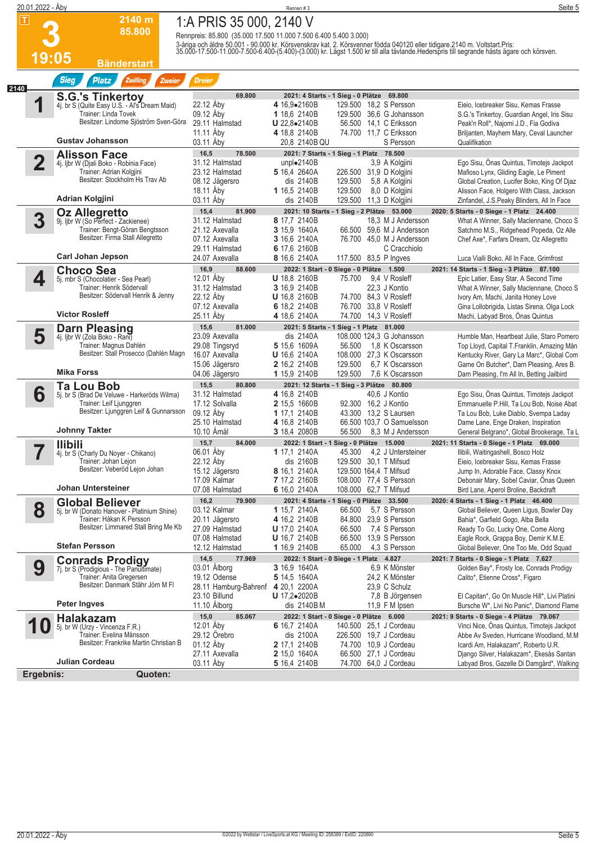|      | 20.01.2022 - Åby        |                                                                         |                                                                  | Rennen #3                                     |                                                                       | Seite 5                                                                                                                                                                                                                           |
|------|-------------------------|-------------------------------------------------------------------------|------------------------------------------------------------------|-----------------------------------------------|-----------------------------------------------------------------------|-----------------------------------------------------------------------------------------------------------------------------------------------------------------------------------------------------------------------------------|
|      | $ \mathsf{T} $          | 2140 m                                                                  | 1:A PRIS 35 000, 2140 V                                          |                                               |                                                                       |                                                                                                                                                                                                                                   |
|      |                         | 85.800                                                                  | Rennpreis: 85.800 (35.000 17.500 11.000 7.500 6.400 5.400 3.000) |                                               |                                                                       |                                                                                                                                                                                                                                   |
|      |                         |                                                                         |                                                                  |                                               |                                                                       | 3-åriga och äldre 50.001 - 90.000 kr. Körsvenskrav kat. 2. Körsvenner födda 040120 eller tidigare.2140 m. Voltstart.Pris:<br>35.000-17.500-11.000-7.500-6.400-(5.400)-(3.000) kr. Lägst 1.500 kr till alla tävlande.Hederspris ti |
|      | <u> 19:05</u>           | <b>Bänderstart</b>                                                      |                                                                  |                                               |                                                                       |                                                                                                                                                                                                                                   |
| 2140 |                         | <b>Sieg</b><br><b>Platz</b><br>Zwilling<br>Zweier                       | <b>Dreier</b>                                                    |                                               |                                                                       |                                                                                                                                                                                                                                   |
|      |                         | <b>S.G.'s Tinkertoy</b>                                                 | 69.800                                                           |                                               | 2021: 4 Starts - 1 Sieg - 0 Plätze 69.800                             |                                                                                                                                                                                                                                   |
|      |                         | 4j. br S (Quite Easy U.S. - Al's Dream Maid)<br>Trainer: Linda Tovek    | 22.12 Åby<br>09.12 Aby                                           | 4 16,9•2160B<br>1 18,6 2140B                  | 129.500 18,2 S Persson<br>129.500 36,6 G Johansson                    | Eieio, Icebreaker Sisu, Kemas Frasse<br>S.G.'s Tinkertoy, Guardian Angel, Iris Sisu                                                                                                                                               |
|      |                         | Besitzer: Lindome Sjöström Sven-Göra                                    | 29.11 Halmstad<br>11.11 Åby                                      | U 22.8.2140B<br>4 18.8 2140B                  | 56.500 14,1 C Eriksson<br>74.700 11,7 C Eriksson                      | Peak'n Roll*, Najomi J.D., Fia Godiva<br>Briljanten, Mayhem Mary, Ceval Launcher                                                                                                                                                  |
|      |                         | <b>Gustav Johansson</b>                                                 | 03.11 Aby                                                        | 20,8 2140B QU                                 | S Persson                                                             | Qualifikation                                                                                                                                                                                                                     |
|      | $\overline{\mathbf{2}}$ | <b>Alisson Face</b>                                                     | 16,5<br>78.500<br>31.12 Halmstad                                 | unpl $\bullet$ 2140B                          | 2021: 7 Starts - 1 Sieg - 1 Platz 78.500<br>3,9 A Kolgjini            | Ego Sisu, Onas Quintus, Timotejs Jackpot                                                                                                                                                                                          |
|      |                         | 4j. ljbr W (Djali Boko - Robinia Face)<br>Trainer: Adrian Kolgjini      | 23.12 Halmstad                                                   | 5 16,4 2640A                                  | 226.500 31,9 D Kolgjini                                               | Mafioso Lynx, Gliding Eagle, Le Piment                                                                                                                                                                                            |
|      |                         | Besitzer: Stockholm Hs Trav Ab                                          | 08.12 Jägersro<br>18.11 Aby                                      | dis 2140B<br>1 16,5 2140B                     | 129.500<br>5,8 A Kolgjini<br>129.500<br>8,0 D Kolgjini                | Global Creation, Lucifer Boko, King Of Djaz<br>Alisson Face, Holgero With Class, Jackson                                                                                                                                          |
|      |                         | <b>Adrian Kolgjini</b>                                                  | 03.11 Aby                                                        | dis 2140B                                     | 129.500 11,3 D Kolgjini                                               | Zinfandel, J.S.Peaky Blinders, All In Face                                                                                                                                                                                        |
|      | 3                       | Oz Allegretto<br>9j. ljbr W (So Perfect - Zackienee)                    | 15,4<br>81.900<br>31.12 Halmstad                                 | 8 17,7 2140B                                  | 2021: 10 Starts - 1 Sieg - 2 Plätze 53.000<br>18.3 M J Andersson      | 2020: 5 Starts - 0 Siege - 1 Platz 24.400<br>What A Winner, Sally Maclennane, Choco S                                                                                                                                             |
|      |                         | Trainer: Bengt-Göran Bengtsson                                          | 21.12 Axevalla                                                   | <b>3</b> 15,9 1640A                           | 66.500 59,6 M J Andersson                                             | Satchmo M.S., Ridgehead Popeda, Oz Alle                                                                                                                                                                                           |
|      |                         | Besitzer: Firma Stall Allegretto                                        | 07.12 Axevalla<br>29.11 Halmstad                                 | 3 16,6 2140A<br>6 17,6 2160B                  | 76.700 45,0 M J Andersson<br>C Cracchiolo                             | Chef Axe*, Farfars Dream, Oz Allegretto                                                                                                                                                                                           |
|      |                         | <b>Carl Johan Jepson</b>                                                | 24.07 Axevalla                                                   | 8 16,6 2140A                                  | 117.500 83,5 P Ingves                                                 | Luca Vialli Boko, All In Face, Grimfrost                                                                                                                                                                                          |
|      | 4                       | <b>Choco Sea</b>                                                        | 16,9<br>88.600<br>12.01 Åbv                                      | <b>U</b> 18,8 2160B                           | 2022: 1 Start - 0 Siege - 0 Plätze 1.500<br>9,4 V Rosleff<br>75.700   | 2021: 14 Starts - 1 Sieg - 3 Plätze 87.100                                                                                                                                                                                        |
|      |                         | 5j. mbr S (Chocolatier - Sea Pearl)<br>Trainer: Henrik Södervall        | 31.12 Halmstad                                                   | 3 16,9 2140B                                  | 22,3 J Kontio                                                         | Epic Latier, Easy Star, A Second Time<br>What A Winner, Sally Maclennane, Choco S                                                                                                                                                 |
|      |                         | Besitzer: Södervall Henrik & Jenny                                      | 22.12 Aby<br>07.12 Axevalla                                      | <b>U</b> 16,8 2160B<br>6 18.2 2140B           | 74.700 84,3 V Rosleff<br>76.700 33,8 V Rosleff                        | Ivory Am, Machi, Janita Honey Love<br>Gina Lollobrigida, Listas Sirena, Olga Lock                                                                                                                                                 |
|      |                         | <b>Victor Rosleff</b>                                                   | 25.11 Åby                                                        | 4 18.6 2140A                                  | 74.700 14,3 V Rosleff                                                 | Machi, Labyad Bros, Önas Quintus                                                                                                                                                                                                  |
|      | 5                       | <b>Darn Pleasing</b><br>4j. ljbr W (Zola Boko - Rani)                   | 15,6<br>81.000<br>23.09 Axevalla                                 | dis 2140A                                     | 2021: 5 Starts - 1 Sieg - 1 Platz 81.000<br>108.000 124,3 G Johansson | Humble Man, Heartbeat Julie, Staro Pomero                                                                                                                                                                                         |
|      |                         | Trainer: Magnus Dahlén                                                  | 29.08 Tingsryd                                                   | 5 15,6 1609A                                  | 1.8 K Oscarsson<br>56.500                                             | Top Lloyd, Capital T.Franklin, Amazing Mån                                                                                                                                                                                        |
|      |                         | Besitzer: Stall Prosecco (Dahlén Magn                                   | 16.07 Axevalla<br>15.06 Jägersro                                 | <b>U</b> 16,6 2140A<br>2 16,2 2140B           | 108.000 27,3 K Oscarsson<br>129.500<br>6.7 K Oscarsson                | Kentucky River, Gary La Marc*, Global Com<br>Game On Butcher*, Darn Pleasing, Ares B.                                                                                                                                             |
|      |                         | <b>Mika Forss</b>                                                       | 04.06 Jägersro                                                   | 1 15,9 2140B                                  | 129.500<br>7.6 K Oscarsson                                            | Darn Pleasing, I'm All In, Betting Jailbird                                                                                                                                                                                       |
|      | 6                       | <b>Ta Lou Bob</b>                                                       | 15,5<br>80.800<br>31.12 Halmstad                                 | 4 16,8 2140B                                  | 2021: 12 Starts - 1 Sieg - 3 Plätze 80.800<br>40,6 J Kontio           | Ego Sisu, Önas Quintus, Timotejs Jackpot                                                                                                                                                                                          |
|      |                         | 5j. br S (Brad De Veluwe - Harkeröds Wilma)<br>Trainer: Leif Ljunggren  | 17.12 Solvalla                                                   | 2 15,5 1660B                                  | 92.300 16,2 J Kontio                                                  | Emmanuelle P.Hill, Ta Lou Bob, Noise Abat                                                                                                                                                                                         |
|      |                         | Besitzer: Ljunggren Leif & Gunnarsson                                   | 09.12 Åby<br>25.10 Halmstad                                      | 1 17.1 2140B<br>4 16,8 2140B                  | 43.300 13,2 S Laursen<br>66.500 103.7 O Samuelsson                    | Ta Lou Bob, Luke Diablo, Svempa Laday<br>Dame Lane, Enge Draken, Inspiration                                                                                                                                                      |
|      |                         | <b>Johnny Takter</b>                                                    | 10.10 Åmål                                                       | 3 18,4 2080B                                  | 56.500<br>8,3 M J Andersson                                           | General Belgrano*, Global Brookerage, Ta L                                                                                                                                                                                        |
|      |                         | <b>Ilibili</b>                                                          | 15,7<br>84.000<br>06.01 Åby                                      |                                               | 2022: 1 Start - 1 Sieg - 0 Plätze 15.000                              | 2021: 11 Starts - 0 Siege - 1 Platz 69.000                                                                                                                                                                                        |
|      |                         | 4j. br S (Charly Du Noyer - Chikano)<br>Trainer: Johan Lejon            | 22.12 Aby                                                        | <b>1</b> 17,1 2140A<br>dis 2160B              | 4.2 J Untersteiner<br>45.300<br>129.500 30,1 T Mifsud                 | Ilibili, Waitingashell, Bosco Holz<br>Eieio, Icebreaker Sisu, Kemas Frasse                                                                                                                                                        |
|      |                         | Besitzer: Veberöd Lejon Johan                                           | 15.12 Jägersro<br>17.09 Kalmar                                   | 8 16,1 2140A<br>7 17,2 2160B                  | 129.500 164,4 T Mifsud<br>108.000 77,4 S Persson                      | Jump In, Adorable Face, Classy Knox<br>Debonair Mary, Sobel Caviar, Onas Queen                                                                                                                                                    |
|      |                         | Johan Untersteiner                                                      | 07.08 Halmstad                                                   | 6 16,0 2140A                                  | 108.000 62,7 T Mifsud                                                 | Bird Lane, Aperol Broline, Backdraft                                                                                                                                                                                              |
|      |                         | <b>Global Believer</b>                                                  | 16,2<br>79.900                                                   |                                               | 2021: 4 Starts - 1 Sieg - 0 Plätze 33.500<br>5.7 S Persson            | 2020: 4 Starts - 1 Sieg - 1 Platz 46.400                                                                                                                                                                                          |
|      | 8                       | 5j. br W (Donato Hanover - Platinium Shine)<br>Trainer: Håkan K Persson | 03.12 Kalmar<br>20.11 Jägersro                                   | 1 15,7 2140A<br>4 16,2 2140B                  | 66.500<br>84.800 23,9 S Persson                                       | Global Believer, Queen Ligus, Bowler Day<br>Bahia*, Garfield Gogo, Alba Bella                                                                                                                                                     |
|      |                         | Besitzer: Limmared Stall Bring Me Kb                                    | 27.09 Halmstad<br>07.08 Halmstad                                 | <b>U</b> 17,0 2140A<br><b>U</b> 16,7 2140B    | 66.500<br>7,4 S Persson<br>66.500 13,9 S Persson                      | Ready To Go, Lucky One, Come Along<br>Eagle Rock, Grappa Boy, Demir K.M.E.                                                                                                                                                        |
|      |                         | <b>Stefan Persson</b>                                                   | 12.12 Halmstad                                                   | 1 16,9 2140B                                  | 65.000<br>4,3 S Persson                                               | Global Believer, One Too Me, Odd Squad                                                                                                                                                                                            |
|      | 9                       | <b>Conrads Prodigy</b>                                                  | 14,5<br>77.969<br>03.01 Alborg                                   | <b>3</b> 16,9 1640A                           | 2022: 1 Start - 0 Siege - 1 Platz 4.827<br>6.9 K Mönster              | 2021: 7 Starts - 0 Siege - 1 Platz 7.627                                                                                                                                                                                          |
|      |                         | 7j. br S (Prodigious - The Panultimate)<br>Trainer: Anita Gregersen     | 19.12 Odense                                                     | 5 14,5 1640A                                  | 24,2 K Mönster                                                        | Golden Bay*, Frosty Ice, Conrads Prodigy<br>Calito*, Etienne Cross*, Figaro                                                                                                                                                       |
|      |                         | Besitzer: Danmark Stähr Jörn M FI                                       | 28.11 Hamburg-Bahrenf<br>23.10 Billund                           | 4 20,1 2200A<br><b>U</b> 17,2 $\bullet$ 2020B | 23,9 C Schulz<br>7,8 B Jörgensen                                      | El Capitan*, Go On Muscle Hill*, Livi Platini                                                                                                                                                                                     |
|      |                         | <b>Peter Ingves</b>                                                     | 11.10 Alborg                                                     | dis 2140B M                                   | 11,9 F M Ipsen                                                        | Bursche W*, Livi No Panic*, Diamond Flame                                                                                                                                                                                         |
|      | 1                       | <b>Halakazam</b><br>5j. br W (Urzy - Vincenza F.R.)                     | 15,0<br>85.067<br>12.01 Åby                                      | 6 16,7 2140A                                  | 2022: 1 Start - 0 Siege - 0 Plätze 6.000<br>140.500 25,1 J Cordeau    | 2021: 9 Starts - 0 Siege - 4 Plätze 79.067<br>Vinci Nice, Onas Quintus, Timotejs Jackpot                                                                                                                                          |
|      |                         | Trainer: Evelina Månsson                                                | 29.12 Orebro                                                     | dis 2100A                                     | 226.500 19,7 J Cordeau                                                | Abbe Av Sveden, Hurricane Woodland, M.M.                                                                                                                                                                                          |
|      |                         | Besitzer: Frankrike Martin Christian B                                  | 01.12 Aby<br>27.11 Axevalla                                      | <b>2</b> 17,1 2140B<br><b>2</b> 15,0 1640A    | 74.700 10,9 J Cordeau<br>66.500 27,1 J Cordeau                        | Icardi Am, Halakazam*, Roberto U.R.<br>Django Silver, Halakazam*, Ekesås Santan                                                                                                                                                   |
|      |                         | Julian Cordeau                                                          | 03.11 Aby                                                        | 5 16,4 2140B                                  | 74.700 64,0 J Cordeau                                                 | Labyad Bros, Gazelle Di Damgård*, Walking                                                                                                                                                                                         |
|      | Ergebnis:               | Quoten:                                                                 |                                                                  |                                               |                                                                       |                                                                                                                                                                                                                                   |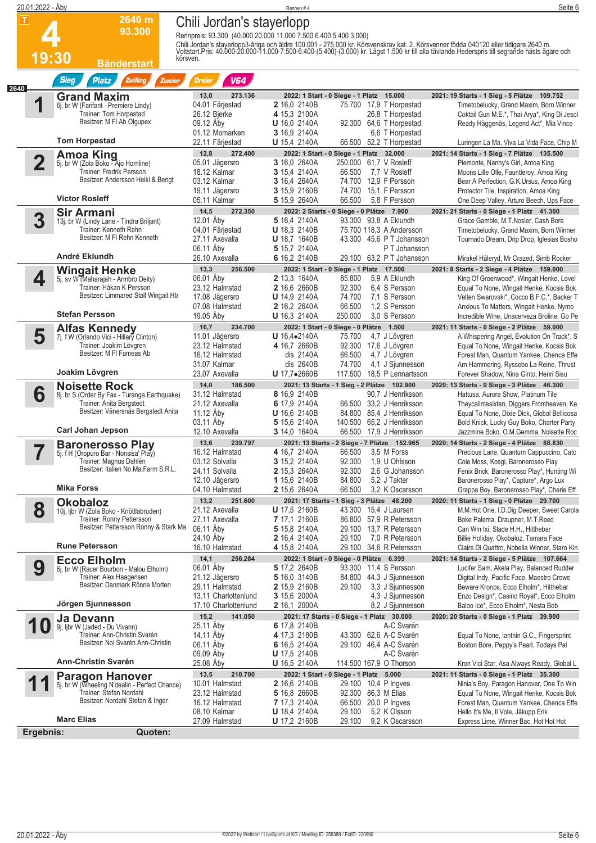|      | 20.01.2022 - Åby        |                                                                         |                                   | Rennen #4                                                                                                                                                                                                                        | Seite 6                                                                                 |
|------|-------------------------|-------------------------------------------------------------------------|-----------------------------------|----------------------------------------------------------------------------------------------------------------------------------------------------------------------------------------------------------------------------------|-----------------------------------------------------------------------------------------|
| П    |                         | 2640 m                                                                  | Chili Jordan's stayerlopp         |                                                                                                                                                                                                                                  |                                                                                         |
|      |                         | 93.300                                                                  |                                   | Rennpreis: 93.300 (40.000 20.000 11.000 7.500 6.400 5.400 3.000)                                                                                                                                                                 |                                                                                         |
|      |                         |                                                                         |                                   |                                                                                                                                                                                                                                  |                                                                                         |
|      |                         |                                                                         |                                   | Chili Jordan's staverlopp3-åriga och äldre 100.001 - 275.000 kr. Körsvenskrav kat. 2. Körsvenner födda 040120 eller tidigare.2640 m.<br>Voltstart.Pris: 40.000-20.000-11.000-7.500-6.400-(5.400)-(3.000) kr. Lägst 1.500 kr till |                                                                                         |
|      | 19:30                   | körsven.<br><b>Bänderstart</b>                                          |                                   |                                                                                                                                                                                                                                  |                                                                                         |
|      |                         | <b>Sieg</b>                                                             |                                   |                                                                                                                                                                                                                                  |                                                                                         |
| 2640 |                         | <b>Platz</b><br><b>Zwilling</b><br>Zweier                               | <b>V64</b><br><b>Dreier</b>       |                                                                                                                                                                                                                                  |                                                                                         |
|      |                         | <b>Grand Maxim</b>                                                      | 13,0<br>273.136                   | 2022: 1 Start - 0 Siege - 1 Platz 15.000                                                                                                                                                                                         | 2021: 19 Starts - 1 Sieg - 5 Plätze 109.752                                             |
|      |                         | 6j. br W (Farifant - Premiere Lindy)<br>Trainer: Tom Horpestad          | 04.01 Färjestad<br>26.12 Bierke   | 75.700 17,9 T Horpestad<br><b>2</b> 16,0 2140B                                                                                                                                                                                   | Timetobelucky, Grand Maxim, Born Winner                                                 |
|      |                         | Besitzer: M FI Ab Olgupex                                               | 09.12 Åby                         | 4 15,3 2100A<br>26,8 T Horpestad<br><b>U</b> 16,0 2140A<br>92.300 64,6 T Horpestad                                                                                                                                               | Coktail Gun M.E.*, Thai Arya*, King Di Jesol<br>Ready Häggenäs, Legend Act*, Mia Vince  |
|      |                         |                                                                         | 01.12 Momarken                    | 3 16,9 2140A<br>6.6 T Horpestad                                                                                                                                                                                                  |                                                                                         |
|      |                         | <b>Tom Horpestad</b>                                                    | 22.11 Färjestad                   | <b>U</b> 15,4 2140A<br>66.500 52,2 T Horpestad                                                                                                                                                                                   | Luringen La Ma, Viva La Vida Face, Chip M                                               |
|      |                         | <b>Amoa King</b>                                                        | 12,8<br>272.400                   | 2022: 1 Start - 0 Siege - 1 Platz 32.000                                                                                                                                                                                         | 2021: 14 Starts - 1 Sieg - 7 Plätze 135.500                                             |
|      | $\overline{\mathbf{2}}$ | 5j. br W (Zola Boko - Ajo Hornline)                                     | 05.01 Jägersro                    | 3 16,0 2640A<br>250.000 61.7 V Rosleff                                                                                                                                                                                           | Piemonte, Nanny's Girl, Amoa King                                                       |
|      |                         | Trainer: Fredrik Persson<br>Besitzer: Andersson Heiki & Bengt           | 18.12 Kalmar<br>03.12 Kalmar      | 3 15,4 2140A<br>66.500<br>7,7 V Rosleff<br>3 16,4 2640A<br>74.700 12,9 F Persson                                                                                                                                                 | Moons Lille Olle, Fauntleroy, Amoa King<br>Bear A Perfection, G.K.Ursus, Amoa King      |
|      |                         |                                                                         | 19.11 Jägersro                    | 3 15,9 2160B<br>74.700<br>15.1 F Persson                                                                                                                                                                                         | Protector Tile, Inspiration, Amoa King                                                  |
|      |                         | <b>Victor Rosleff</b>                                                   | 05.11 Kalmar                      | 66.500<br>5 15,9 2640A<br>5.8 F Persson                                                                                                                                                                                          | One Deep Valley, Arturo Beech, Ups Face                                                 |
|      |                         | <b>Sir Armani</b>                                                       | 14,5<br>272.350                   | 2022: 2 Starts - 0 Siege - 0 Plätze 7.900                                                                                                                                                                                        | 2021: 21 Starts - 0 Siege - 1 Platz 41.300                                              |
|      | 3                       | 13j. br W (Lindy Lane - Tindra Briljant)                                | 12.01 Åbv                         | 5 16,4 2140A<br>93.300 93.8 A Eklundh                                                                                                                                                                                            | Grace Gamble, M.T.Nosler, Cash Bore                                                     |
|      |                         | Trainer: Kenneth Rehn<br>Besitzer: M FI Rehn Kenneth                    | 04.01 Färjestad<br>27.11 Axevalla | <b>U</b> 18,3 2140B<br>75.700 118,3 A Andersson<br><b>U</b> 18,7 1640B<br>43.300 45.6 P T Johansson                                                                                                                              | Timetobelucky, Grand Maxim, Born Winner<br>Tournado Dream, Drip Drop, Iglesias Bosho    |
|      |                         |                                                                         | 06.11 Aby                         | 5 15,7 2140A<br>PT Johansson                                                                                                                                                                                                     |                                                                                         |
|      |                         | André Eklundh                                                           | 26.10 Axevalla                    | 6 16,2 2140B<br>29.100 63.2 P T Johansson                                                                                                                                                                                        | Mirakel Håleryd, Mr Crazed, Simb Rocker                                                 |
|      |                         | <b>Wingait Henke</b>                                                    | 13,3<br>256,500                   | 2022: 1 Start - 0 Siege - 1 Platz 17.500                                                                                                                                                                                         | 2021: 8 Starts - 2 Siege - 4 Plätze 159.000                                             |
|      | 4                       | 5j. sv W (Maharajah - Armbro Deity)                                     | 06.01 Åby                         | 5,9 A Eklundh<br><b>2</b> 13.3 1640A<br>85.800                                                                                                                                                                                   | King Of Greenwood*, Wingait Henke, Lovel                                                |
|      |                         | Trainer: Håkan K Persson<br>Besitzer: Limmared Stall Wingait Hb         | 23.12 Halmstad<br>17.08 Jägersro  | 2 16,6 2660B<br>92.300<br>6.4 S Persson<br><b>U</b> 14,9 2140A<br>74.700<br>7,1 S Persson                                                                                                                                        | Equal To None, Wingait Henke, Kocsis Bok<br>Velten Swarovski*, Cocco B.F.C.*, Backer T  |
|      |                         |                                                                         | 07.08 Halmstad                    | 2 16,2 2640A<br>66.500<br>1.2 S Persson                                                                                                                                                                                          | Anxious To Matters, Wingait Henke, Nymo                                                 |
|      |                         | <b>Stefan Persson</b>                                                   | 19.05 Åby                         | U 16,3 2140A<br>250.000<br>3.0 S Persson                                                                                                                                                                                         | Incredible Wine, Unacerveza Broline, Go Pe                                              |
|      |                         | <b>Alfas Kennedy</b>                                                    | 16,7<br>234.700                   | 2022: 1 Start - 0 Siege - 0 Plätze 1.500                                                                                                                                                                                         | 2021: 11 Starts - 0 Siege - 2 Plätze 59.000                                             |
|      | 5                       | 7j. f W (Orlando Vici - Hillary Clinton)                                | 11.01 Jägersro                    | $U$ 16,4 $\bullet$ 2140A<br>75.700<br>4,7 J Lövgren                                                                                                                                                                              | A Whispering Angel, Evolution On Track*, S                                              |
|      |                         | Trainer: Joakim Lövgren<br>Besitzer: M FI Fameas Ab                     | 23.12 Halmstad<br>16.12 Halmstad  | 4 16,7 2660B<br>92.300 17,6 J Lövgren<br>dis 2140A<br>66.500<br>4,7 J Lövgren                                                                                                                                                    | Equal To None, Wingait Henke, Kocsis Bok<br>Forest Man, Quantum Yankee, Chenca Effe     |
|      |                         |                                                                         | 31.07 Kalmar                      | dis 2640B<br>74.700<br>4,1 J Sjunnesson                                                                                                                                                                                          | Arn Hammering, Ryssebo La Reine, Thrust                                                 |
|      |                         | Joakim Lövgren                                                          | 23.07 Axevalla                    | U 17,7•2660B<br>117.500<br>18,5 P Lennartsson                                                                                                                                                                                    | Forever Shadow, Nina Ginto, Henri Sisu                                                  |
|      |                         | <b>Noisette Rock</b>                                                    | 14,0<br>186.500                   | 2021: 13 Starts - 1 Sieg - 2 Plätze 102.900                                                                                                                                                                                      | 2020: 13 Starts - 0 Siege - 3 Plätze 46.300                                             |
|      | 6                       | 8j. br S (Order By Fax - Turanga Earthquake)                            | 31.12 Halmstad                    | 8 16,9 2140B<br>90,7 J Henriksson                                                                                                                                                                                                | Hattusa, Aurora Show, Platinum Tile                                                     |
|      |                         | Trainer: Anita Bergstedt<br>Besitzer: Vänersnäs Bergstedt Anita         | 21.12 Axevalla<br>11.12 Åby       | 6 17,9 2140A<br>33,2 J Henriksson<br>66.500<br>U 16,6 2140B<br>84.800 85,4 J Henriksson                                                                                                                                          | Theycallmesixten, Diggers Fromheaven, Ke<br>Equal To None, Dixie Dick, Global Bellicosa |
|      |                         |                                                                         | 03.11 Aby                         | 5 15,6 2140A<br>140.500 65,2 J Henriksson                                                                                                                                                                                        | Bold Knick, Lucky Guy Boko, Charter Party                                               |
|      |                         | <b>Carl Johan Jepson</b>                                                | 12.10 Axevalla                    | 3 14,0 1640A<br>66.500<br>17,9 J Henriksson                                                                                                                                                                                      | Jazzmine Boko, O.M.Gemma, Noisette Roc                                                  |
|      |                         | <b>Baronerosso Play</b>                                                 | 239.797<br>13,6                   | 2021: 13 Starts - 2 Siege - 7 Plätze 152.965                                                                                                                                                                                     | 2020: 14 Starts - 2 Siege - 4 Plätze 88.830                                             |
|      |                         | 5j. f H (Oropuro Bar - Nonsisa' Play)                                   | 16.12 Halmstad                    | 4 16,7 2140A<br>66.500<br>3,5 M Forss                                                                                                                                                                                            | Precious Lane, Quantum Cappuccino, Catc                                                 |
|      |                         | Trainer: Magnus Dahlén<br>Besitzer: Italien No.Ma.Farm S.R.L.           | 03.12 Solvalla<br>24.11 Solvalla  | 92.300<br>1,9 U Ohlsson<br>3 15,2 2140A<br>92.300<br>2,6 G Johansson<br><b>2</b> 15,3 2640A                                                                                                                                      | Cole Moss, Kosgi, Baronerosso Play<br>Fenix Brick, Baronerosso Play*, Hunting Wi        |
|      |                         |                                                                         | 12.10 Jägersro                    | 84.800<br>5,2 J Takter<br>1 15,6 2140B                                                                                                                                                                                           | Baronerosso Play*, Capture*, Argo Lux                                                   |
|      |                         | <b>Mika Forss</b>                                                       | 04.10 Halmstad                    | 66.500<br>3,2 K Oscarsson<br><b>2</b> 15,6 2640A                                                                                                                                                                                 | Grappa Boy, Baronerosso Play*, Cherie Eff                                               |
|      |                         | Okobaloz                                                                | 13,2<br>251.600                   | 2021: 17 Starts - 1 Sieg - 3 Plätze 48.200                                                                                                                                                                                       | 2020: 11 Starts - 1 Sieg - 0 Plätze 29.700                                              |
|      | 8                       | 10j. ljbr W (Zola Boko - Knöttlabruden)                                 | 21.12 Axevalla                    | <b>U</b> 17,5 2160B<br>43.300 15,4 J Laursen                                                                                                                                                                                     | M.M.Hot One, I.D.Dig Deeper, Sweet Carola                                               |
|      |                         | Trainer: Ronny Pettersson<br>Besitzer: Pettersson Ronny & Stark Ma      | 27.11 Axevalla<br>06.11 Åby       | 7 17,1 2160B<br>86.800 57,9 R Petersson<br>29.100 13,7 R Petersson<br>5 15,8 2140A                                                                                                                                               | Boke Palema, Draupner, M.T.Reed<br>Can Win Ixi, Slade H.H., Hitthebar                   |
|      |                         |                                                                         | 24.10 Aby                         | <b>2</b> 16,4 2140A<br>29.100<br>7,0 R Petersson                                                                                                                                                                                 | Billie Holiday, Okobaloz, Tamara Face                                                   |
|      |                         | <b>Rune Petersson</b>                                                   | 16.10 Halmstad                    | 4 15,8 2140A<br>29.100 34,6 R Petersson                                                                                                                                                                                          | Claire Di Quattro, Nobella Winner, Staro Kin                                            |
|      |                         | <b>Ecco Elholm</b>                                                      | 14,1<br>256.284                   | 2022: 1 Start - 0 Siege - 0 Plätze 6.399                                                                                                                                                                                         | 2021: 14 Starts - 2 Siege - 5 Plätze 107.664                                            |
|      | 9                       | 6j. br W (Racer Bourbon - Malou Elholm)                                 | 06.01 Aby                         | 5 17,2 2640B<br>93.300 11,4 S Persson                                                                                                                                                                                            | Lucifer Sam, Akela Play, Balanced Rudder                                                |
|      |                         | Trainer: Alex Haagensen<br>Besitzer: Danmark Rönne Morten               | 21.12 Jägersro<br>29.11 Halmstad  | 5 16,0 3140B<br>84.800 44,3 J Sjunnesson<br>3,3 J Sjunnesson<br><b>2</b> 15,9 2160B<br>29.100                                                                                                                                    | Digital Indy, Pacific Face, Maestro Crowe<br>Beware Kronos, Ecco Elholm*, Hitthebar     |
|      |                         |                                                                         | 13.11 Charlottenlund              | <b>3</b> 15,6 2000A<br>4,3 J Sjunnesson                                                                                                                                                                                          | Enzo Design*, Casino Royal*, Ecco Elholm                                                |
|      |                         | Jörgen Sjunnesson                                                       | 17.10 Charlottenlund              | 2 16,1 2000A<br>8,2 J Sjunnesson                                                                                                                                                                                                 | Baloo Ice*, Ecco Elholm*, Nesta Bob                                                     |
|      |                         | Ja Devann                                                               | 15,2<br>141.050                   | 2021: 17 Starts - 0 Siege - 1 Platz 30.000                                                                                                                                                                                       | 2020: 20 Starts - 0 Siege - 1 Platz 39.900                                              |
|      | U                       | 9j. Ijbr W (Jaded - Du Vivann)                                          | 25.11 Åby                         | A-C Svarén<br>6 17,8 2140B                                                                                                                                                                                                       |                                                                                         |
|      |                         | Trainer: Ann-Christin Svarén<br>Besitzer: Nol Svarén Ann-Christin       | 14.11 Aby<br>06.11 Aby            | 4 17,3 2180B<br>43.300 62,6 A-C Svarén<br>29.100 46,4 A-C Svarén                                                                                                                                                                 | Equal To None, lanthin G.C., Fingersprint                                               |
|      |                         |                                                                         | 09.09 Aby                         | 6 16,5 2140A<br><b>U</b> 17,5 2140B<br>A-C Svarén                                                                                                                                                                                | Boston Bore, Peppy's Pearl, Todays Pal                                                  |
|      |                         | <b>Ann-Christin Svarén</b>                                              | 25.08 Aby                         | 114.500 167,9 O Thorson<br><b>U</b> 16,5 2140A                                                                                                                                                                                   | Kron Vici Star, Asa Always Ready, Global L                                              |
|      |                         |                                                                         | 210.700<br>13,5                   | 2022: 1 Start - 0 Siege - 1 Platz 5.000                                                                                                                                                                                          | 2021: 11 Starts - 0 Siege - 1 Platz 35.300                                              |
|      |                         | <b>Paragon Hanover</b><br>5j. br W (Wheeling N'dealin - Perfect Chance) | 10.01 Halmstad                    | <b>2</b> 16,6 2140B<br>29.100 10,4 P Ingves                                                                                                                                                                                      | Ninia's Boy, Paragon Hanover, One To Win                                                |
|      |                         | Trainer: Stefan Nordahl<br>Besitzer: Nordahl Stefan & Inger             | 23.12 Halmstad                    | 5 16,8 2660B<br>92.300 86,3 M Elias                                                                                                                                                                                              | Equal To None, Wingait Henke, Kocsis Bok                                                |
|      |                         |                                                                         | 16.12 Halmstad<br>08.10 Kalmar    | <b>7</b> 17,3 2140A<br>66.500<br>20,0 P Ingves<br>29.100<br>5,2 K Olsson<br><b>U</b> 18,4 2140A                                                                                                                                  | Forest Man, Quantum Yankee, Chenca Effe<br>Hello It's Me, Il Vole, Jåkupp Erik          |
|      |                         | <b>Marc Elias</b>                                                       | 27.09 Halmstad                    | 29.100<br>9,2 K Oscarsson<br><b>U</b> 17,2 2160B                                                                                                                                                                                 | Express Lime, Winner Bac, Hot Hot Hot                                                   |
|      | Ergebnis:               | Quoten:                                                                 |                                   |                                                                                                                                                                                                                                  |                                                                                         |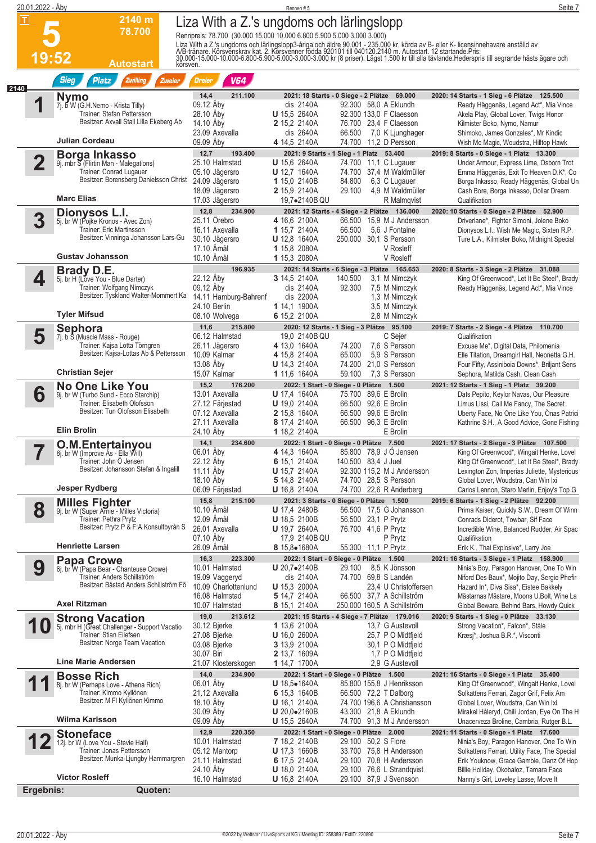|      | 20.01.2022 - Åby        |                                                                          |                                                                        | Rennen#5                                      |                     |                                                    | Seite 7                                                                                                                                                                                                                          |
|------|-------------------------|--------------------------------------------------------------------------|------------------------------------------------------------------------|-----------------------------------------------|---------------------|----------------------------------------------------|----------------------------------------------------------------------------------------------------------------------------------------------------------------------------------------------------------------------------------|
| ΙT   |                         | 2140 m                                                                   | Liza With a Z.'s ungdoms och lärlingslopp                              |                                               |                     |                                                    |                                                                                                                                                                                                                                  |
|      |                         | 78.700                                                                   | Rennpreis: 78.700 (30.000 15.000 10.000 6.800 5.900 5.000 3.000 3.000) |                                               |                     |                                                    |                                                                                                                                                                                                                                  |
|      |                         |                                                                          |                                                                        |                                               |                     |                                                    |                                                                                                                                                                                                                                  |
|      | 19:52                   |                                                                          |                                                                        |                                               |                     |                                                    | Liza With a Z.'s ungdoms och lärlingslopp3-åriga och äldre 90.001 - 235.000 kr, körda av B- eller K- licensinnehavare anställd av<br>A/B-tränare. Körsvenskrav kat. 2. Körsvenner födda 920101 till 040120.2140 m. Autostart. 12 |
|      |                         | Autostart                                                                | körsven.                                                               |                                               |                     |                                                    |                                                                                                                                                                                                                                  |
|      |                         | <b>Sieg</b><br><b>Platz</b><br>Zwilling<br>Zweier                        | <b>V64</b><br><b>Dreier</b>                                            |                                               |                     |                                                    |                                                                                                                                                                                                                                  |
| 2140 |                         |                                                                          | 14,4<br>211.100                                                        | 2021: 18 Starts - 0 Siege - 2 Plätze 69.000   |                     |                                                    | 2020: 14 Starts - 1 Sieg - 6 Plätze 125.500                                                                                                                                                                                      |
|      |                         | Nymo<br>7j. b W (G.H.Nemo - Krista Tilly)                                | 09.12 Åby                                                              | dis 2140A                                     |                     | 92.300 58,0 A Eklundh                              | Ready Häggenäs, Legend Act*, Mia Vince                                                                                                                                                                                           |
|      |                         | Trainer: Stefan Pettersson                                               | 28.10 Aby                                                              | <b>U</b> 15,5 2640A                           |                     | 92.300 133,0 F Claesson                            | Akela Play, Global Lover, Twigs Honor                                                                                                                                                                                            |
|      |                         | Besitzer: Axvall Stall Lilla Ekeberg Ab                                  | 14.10 Aby                                                              | 2 15,2 2140A                                  |                     | 76.700 23,4 F Claesson                             | Kilmister Boko, Nymo, Namur                                                                                                                                                                                                      |
|      |                         | Julian Cordeau                                                           | 23.09 Axevalla<br>09.09 Åby                                            | dis 2640A<br>4 14,5 2140A                     | 66.500<br>74.700    | 7,0 K Ljunghager<br>11,2 D Persson                 | Shimoko, James Gonzales*, Mr Kindic                                                                                                                                                                                              |
|      |                         |                                                                          | 12,7<br>193.400                                                        | 2021: 9 Starts - 1 Sieg - 1 Platz 53.400      |                     |                                                    | Wish Me Magic, Woudstra, Hilltop Hawk<br>2019: 8 Starts - 0 Siege - 1 Platz 13.300                                                                                                                                               |
|      | $\overline{\mathbf{2}}$ | <b>Borga Inkasso</b><br>9j. mbr S (Flirtin Man - Malegations)            | 25.10 Halmstad                                                         | <b>U</b> 15,6 2640A                           | 74.700              | 11,1 C Lugauer                                     | Under Armour, Express Lime, Osborn Trot                                                                                                                                                                                          |
|      |                         | Trainer: Conrad Lugauer                                                  | 05.10 Jägersro                                                         | <b>U</b> 12,7 1640A                           |                     | 74.700 37,4 M Waldmüller                           | Emma Häggenäs, Exit To Heaven D.K*, Co                                                                                                                                                                                           |
|      |                         | Besitzer: Borensberg Danielsson Christ                                   | 24.09 Jägersro                                                         | 1 15,0 2140B                                  | 84.800              | 6,3 C Lugauer                                      | Borga Inkasso, Ready Häggenäs, Global Un                                                                                                                                                                                         |
|      |                         | <b>Marc Elias</b>                                                        | 18.09 Jägersro<br>17.03 Jägersro                                       | <b>2</b> 15,9 2140A<br>19,7•2140B QU          | 29.100              | 4,9 M Waldmüller<br>R Malmqvist                    | Cash Bore, Borga Inkasso, Dollar Dream<br>Qualifikation                                                                                                                                                                          |
|      |                         |                                                                          | 12,8<br>234.900                                                        | 2021: 12 Starts - 4 Siege - 2 Plätze 136.000  |                     |                                                    | 2020: 10 Starts - 0 Siege - 2 Plätze 52.900                                                                                                                                                                                      |
|      | 3                       | Dionysos L.I.<br>5j. br W (Pojke Kronos - Avec Zon)                      | 25.11 Orebro                                                           | 4 16.6 2100A                                  | 66.500              | 15.9 M J Andersson                                 | Driverlane*, Fighter Simoni, Jolene Boko                                                                                                                                                                                         |
|      |                         | Trainer: Eric Martinsson                                                 | 16.11 Axevalla                                                         | 1 15,7 2140A                                  | 66.500              | 5.6 J Fontaine                                     | Dionysos L.I., Wish Me Magic, Sixten R.P.                                                                                                                                                                                        |
|      |                         | Besitzer: Vinninga Johansson Lars-Gu                                     | 30.10 Jägersro                                                         | U 12.8 1640A                                  |                     | 250.000 30,1 S Persson                             | Ture L.A., Kilmister Boko, Midnight Special                                                                                                                                                                                      |
|      |                         | <b>Gustav Johansson</b>                                                  | 17.10 Amål<br>10.10 Åmål                                               | 1 15,8 2080A<br>1 15,3 2080A                  |                     | V Rosleff<br>V Rosleff                             |                                                                                                                                                                                                                                  |
|      |                         | Brady D.E.                                                               | 196.935                                                                | 2021: 14 Starts - 6 Siege - 3 Plätze 165.653  |                     |                                                    | 2020: 8 Starts - 3 Siege - 2 Plätze 31.088                                                                                                                                                                                       |
|      | 4                       | 5j. br H (Love You - Blue Darter)                                        | 22.12 Åby                                                              | 3 14,5 2140A                                  | 140.500             | 3,1 M Nimczyk                                      | King Of Greenwood*, Let It Be Steel*, Brady                                                                                                                                                                                      |
|      |                         | Trainer: Wolfgang Nimczyk                                                | 09.12 Aby                                                              | dis 2140A                                     | 92.300              | 7,5 M Nimczyk                                      | Ready Häggenäs, Legend Act*, Mia Vince                                                                                                                                                                                           |
|      |                         | Besitzer: Tyskland Walter-Mommert Ka                                     | 14.11 Hamburg-Bahrenf                                                  | dis 2200A                                     |                     | 1,3 M Nimczyk                                      |                                                                                                                                                                                                                                  |
|      |                         | Tyler Mifsud                                                             | 24.10 Berlin<br>08.10 Wolvega                                          | 1 14,1 1900A<br>6 15,2 2100A                  |                     | 3,5 M Nimczyk<br>2,8 M Nimczyk                     |                                                                                                                                                                                                                                  |
|      |                         | Sephora                                                                  | 11,6<br>215.800                                                        | 2020: 12 Starts - 1 Sieg - 3 Plätze 95.100    |                     |                                                    | 2019: 7 Starts - 2 Siege - 4 Plätze 110.700                                                                                                                                                                                      |
|      | 5                       | 7j. b S (Muscle Mass - Rouge)                                            | 06.12 Halmstad                                                         | 19,0 2140B QU                                 |                     | C Sejer                                            | Qualifikation                                                                                                                                                                                                                    |
|      |                         | Trainer: Kajsa Lotta Törngren                                            | 26.11 Jägersro                                                         | 4 13,0 1640A                                  | 74.200              | 7.6 S Persson                                      | Excuse Me*, Digital Data, Philomenia                                                                                                                                                                                             |
|      |                         | Besitzer: Kajsa-Lottas Ab & Pettersson                                   | 10.09 Kalmar                                                           | 4 15,8 2140A                                  | 65.000              | 5,9 S Persson                                      | Elle Titation, Dreamgirl Hall, Neonetta G.H.                                                                                                                                                                                     |
|      |                         | <b>Christian Sejer</b>                                                   | 13.08 Aby<br>15.07 Kalmar                                              | <b>U</b> 14,3 2140A<br>1 11,6 1640A           | 74.200<br>59.100    | 21,0 S Persson<br>7.3 S Persson                    | Four Fifty, Assiniboia Downs*, Briljant Sens<br>Sephora, Matilda Cash, Clean Cash                                                                                                                                                |
|      |                         | <b>No One Like You</b>                                                   | 15,2<br>176.200                                                        | 2022: 1 Start - 0 Siege - 0 Plätze 1.500      |                     |                                                    | 2021: 12 Starts - 1 Sieg - 1 Platz 39.200                                                                                                                                                                                        |
|      | 6                       | 9j. br W (Turbo Sund - Ecco Starchip)                                    | 13.01 Axevalla                                                         | <b>U</b> 17,4 1640A                           |                     | 75.700 89,6 E Brolin                               | Dats Pepito, Keylor Navas, Our Pleasure                                                                                                                                                                                          |
|      |                         | Trainer: Elisabeth Olofsson<br>Besitzer: Tun Olofsson Elisabeth          | 27.12 Färjestad                                                        | <b>U</b> 19,0 2140A                           |                     | 66.500 92,6 E Brolin                               | Limus Lissi, Call Me Fancy, The Secret                                                                                                                                                                                           |
|      |                         |                                                                          | 07.12 Axevalla<br>27.11 Axevalla                                       | <b>2</b> 15,8 1640A<br>8 17,4 2140A           |                     | 66.500 99,6 E Brolin<br>66.500 96,3 E Brolin       | Uberty Face, No One Like You, Onas Patrici<br>Kathrine S.H., A Good Advice, Gone Fishing                                                                                                                                         |
|      |                         | <b>Elin Brolin</b>                                                       | 24.10 Åby                                                              | 1 18,2 2140A                                  |                     | E Brolin                                           |                                                                                                                                                                                                                                  |
|      |                         | O.M.Entertainyou                                                         | 14,1<br>234.600                                                        | 2022: 1 Start - 0 Siege - 0 Plätze 7.500      |                     |                                                    | 2021: 17 Starts - 2 Siege - 3 Plätze 107.500                                                                                                                                                                                     |
|      |                         | 8j. br W (Improve As - Ella Will)                                        | 06.01 Åby                                                              | 4 14,3 1640A                                  |                     | 85.800 78,9 J Ö Jensen                             | King Of Greenwood*, Wingait Henke, Lovel                                                                                                                                                                                         |
|      |                         | Trainer: John Ö Jensen<br>Besitzer: Johansson Stefan & Ingalill          | 22.12 Aby<br>11.11 Aby                                                 | 6 15,1 2140A<br><b>U</b> 15,7 2140A           | 140.500 83,4 J Juel | 92.300 115,2 M J Andersson                         | King Of Greenwood*, Let It Be Steel*, Brady                                                                                                                                                                                      |
|      |                         |                                                                          | 18.10 Aby                                                              | 5 14,8 2140A                                  |                     | 74.700 28,5 S Persson                              | Lexington Zon, Imperias Juliette, Mysterious<br>Global Lover, Woudstra, Can Win Ixi                                                                                                                                              |
|      |                         | Jesper Rydberg                                                           | 06.09 Färjestad                                                        | <b>U</b> 16,8 2140A                           |                     | 74.700 22,6 R Anderberg                            | Carlos Lennon, Staro Merlin, Enjoy's Top G                                                                                                                                                                                       |
|      |                         | <b>Milles Fighter</b>                                                    | 15,8<br>215.100                                                        | 2021: 3 Starts - 0 Siege - 0 Plätze 1.500     |                     |                                                    | 2019: 6 Starts - 1 Sieg - 2 Plätze 92.200                                                                                                                                                                                        |
|      | 8                       | 9j. br W (Super Arnie - Milles Victoria)                                 | 10.10 Amål                                                             | <b>U</b> 17,4 2480B                           |                     | 56.500 17,5 G Johansson                            | Prima Kaiser, Quickly S.W., Dream Of Winn                                                                                                                                                                                        |
|      |                         | Trainer: Pethra Prytz<br>Besitzer: Prytz P & F:A Konsultbyrån S          | 12.09 Åmål<br>26.01 Axevalla                                           | U 18,5 2100B<br><b>U</b> 19,7 2640A           |                     | 56.500 23,1 P Prytz<br>76.700 41,6 P Prytz         | Conrads Diderot, Towbar, Sif Face<br>Incredible Wine, Balanced Rudder, Air Spac                                                                                                                                                  |
|      |                         |                                                                          | 07.10 Aby                                                              | 17,9 2140B QU                                 |                     | P Prytz                                            | Qualifikation                                                                                                                                                                                                                    |
|      |                         | <b>Henriette Larsen</b>                                                  | 26.09 Åmål                                                             | <b>8</b> 15,8●1680A                           |                     | 55.300 11,1 P Prytz                                | Erik K., Thai Explosive*, Larry Joe                                                                                                                                                                                              |
|      |                         | <b>Papa Crowe</b>                                                        | 16,3<br>223.300                                                        | 2022: 1 Start - 0 Siege - 0 Plätze 1.500      |                     |                                                    | 2021: 16 Starts - 3 Siege - 1 Platz 158.900                                                                                                                                                                                      |
|      | 9                       | 6j. br W (Papa Bear - Chanteuse Crowe)                                   | 10.01 Halmstad                                                         | <b>U</b> 20,7 $\bullet$ 2140B                 | 29.100              | 8,5 K Jönsson                                      | Ninia's Boy, Paragon Hanover, One To Win                                                                                                                                                                                         |
|      |                         | Trainer: Anders Schillström<br>Besitzer: Båstad Anders Schillström Fö    | 19.09 Vaggeryd<br>10.09 Charlottenlund                                 | dis 2140A<br><b>U</b> 15,3 2000A              |                     | 74.700 69,8 S Landén<br>23,4 U Christoffersen      | Niford Des Baux*, Mojito Day, Sergie Phefir<br>Hazard In*, Diva Sisa*, Eistee Bakkely                                                                                                                                            |
|      |                         |                                                                          | 16.08 Halmstad                                                         | 5 14,7 2140A                                  |                     | 66.500 37,7 A Schillström                          | Mästarnas Mästare, Moons U.Bolt, Wine La                                                                                                                                                                                         |
|      |                         | <b>Axel Ritzman</b>                                                      | 10.07 Halmstad                                                         | 8 15,1 2140A                                  |                     | 250.000 160,5 A Schillström                        | Global Beware, Behind Bars, Howdy Quick                                                                                                                                                                                          |
|      |                         | <b>Strong Vacation</b>                                                   | 19,0<br>213.612                                                        | 2021: 15 Starts - 4 Siege - 7 Plätze 179.016  |                     |                                                    | 2020: 9 Starts - 1 Sieg - 0 Plätze 33.130                                                                                                                                                                                        |
|      | U                       | 5j. mbr H (Great Challenger - Support Vacatio<br>Trainer: Stian Eilefsen | 30.12 Bjerke<br>27.08 Bjerke                                           | 1 13,6 2100A<br><b>U</b> 16,0 2600A           |                     | 13,7 G Austevoll<br>25,7 P O Midtfjeld             | Strong Vacation*, Falcon*, Ståle                                                                                                                                                                                                 |
|      |                         | Besitzer: Norge Team Vacation                                            | 03.08 Bjerke                                                           | 3 13,9 2100A                                  |                     | 30,1 P O Midtfield                                 | Kræsj*, Joshua B.R.*, Visconti                                                                                                                                                                                                   |
|      |                         |                                                                          | 30.07 Biri                                                             | <b>2</b> 13,7 1609A                           |                     | 1,7 P O Midtfjeld                                  |                                                                                                                                                                                                                                  |
|      |                         | Line Marie Andersen                                                      | 21.07 Klosterskogen                                                    | <b>1</b> 14,7 1700A                           |                     | 2,9 G Austevoll                                    |                                                                                                                                                                                                                                  |
|      |                         | <b>Bosse Rich</b>                                                        | 14,0<br>234.900                                                        | 2022: 1 Start - 0 Siege - 0 Plätze 1.500      |                     |                                                    | 2021: 16 Starts - 0 Siege - 1 Platz 35.400                                                                                                                                                                                       |
|      |                         | 8j. br W (Perhaps Love - Athena Rich)<br>Trainer: Kimmo Kyllönen         | 06.01 Åby<br>21.12 Axevalla                                            | <b>U</b> $18.5 \bullet 1640A$<br>6 15,3 1640B |                     | 85.800 155,8 J Henriksson<br>66.500 72,2 T Dalborg | King Of Greenwood*, Wingait Henke, Lovel                                                                                                                                                                                         |
|      |                         | Besitzer: M FI Kyllönen Kimmo                                            | 18.10 Aby                                                              | <b>U</b> 16,1 2140A                           |                     | 74.700 196,6 A Christiansson                       | Solkattens Ferrari, Zagor Grif, Felix Am<br>Global Lover, Woudstra, Can Win Ixi                                                                                                                                                  |
|      |                         |                                                                          | 30.09 Aby                                                              | $U 20,0 \bullet 2160B$                        |                     | 43.300 21,8 A Eklundh                              | Mirakel Håleryd, Chili Jordan, Eye On The H                                                                                                                                                                                      |
|      |                         | Wilma Karlsson                                                           | 09.09 Aby                                                              | <b>U</b> 15,5 2640A                           |                     | 74.700 91,3 M J Andersson                          | Unacerveza Broline, Cambria, Rutger B.L.                                                                                                                                                                                         |
|      |                         | <b>Stoneface</b>                                                         | 12,9<br>220.350                                                        | 2022: 1 Start - 0 Siege - 0 Plätze 2.000      |                     |                                                    | 2021: 11 Starts - 0 Siege - 1 Platz 17.600                                                                                                                                                                                       |
|      |                         | 12j. br W (Love You - Stevie Hall)<br>Trainer: Jonas Pettersson          | 10.01 Halmstad                                                         | <b>7</b> 18,2 2140B                           |                     | 29.100 50,2 S Fiore                                | Ninia's Boy, Paragon Hanover, One To Win                                                                                                                                                                                         |
|      |                         | Besitzer: Munka-Ljungby Hammargren                                       | 05.12 Mantorp<br>21.11 Halmstad                                        | <b>U</b> 17,3 1660B<br>6 17,5 2140A           |                     | 33.700 75,8 H Andersson<br>29.100 70,8 H Andersson | Solkattens Ferrari, Utility Face, The Special<br>Erik Youknow, Grace Gamble, Danz Of Hop                                                                                                                                         |
|      |                         |                                                                          | 24.10 Aby                                                              | <b>U</b> 18,0 2140A                           |                     | 29.100 76,6 L Strandgvist                          | Billie Holiday, Okobaloz, Tamara Face                                                                                                                                                                                            |
|      |                         | <b>Victor Rosleff</b>                                                    | 16.10 Halmstad                                                         | <b>U</b> 16,8 2140A                           |                     | 29.100 87,9 J Svensson                             | Nanny's Girl, Loveley Lasse, Move It                                                                                                                                                                                             |
|      | Ergebnis:               | Quoten:                                                                  |                                                                        |                                               |                     |                                                    |                                                                                                                                                                                                                                  |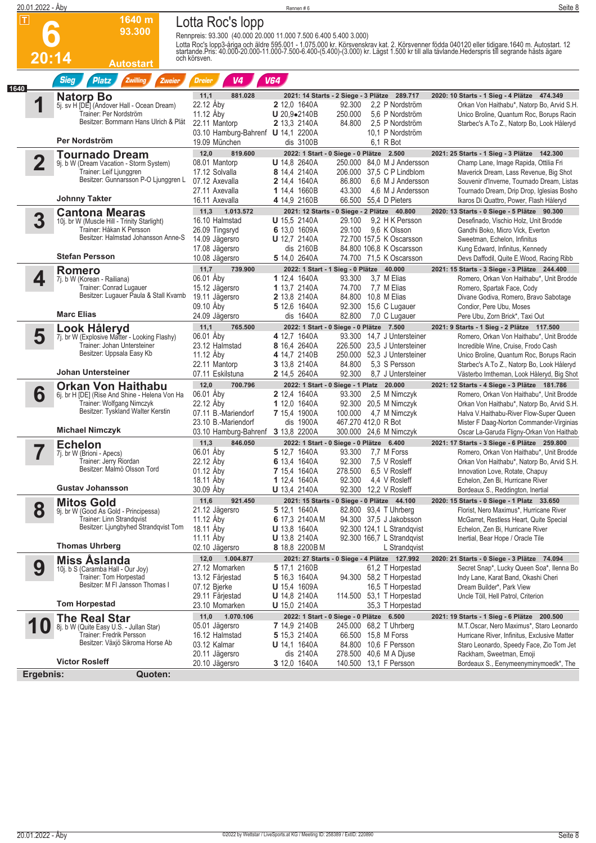| 20.01.2022 - Aby                                      |                                                                                                                                         |                                                                                                             | Rennen#6                                                                                          |                                                                             |                                                                                                                                 | Seite 8                                                                                                                                                                                                                                 |
|-------------------------------------------------------|-----------------------------------------------------------------------------------------------------------------------------------------|-------------------------------------------------------------------------------------------------------------|---------------------------------------------------------------------------------------------------|-----------------------------------------------------------------------------|---------------------------------------------------------------------------------------------------------------------------------|-----------------------------------------------------------------------------------------------------------------------------------------------------------------------------------------------------------------------------------------|
| $\overline{\mathbf{r}}$                               | 1640 m<br>93.300                                                                                                                        | Lotta Roc's lopp<br>Rennpreis: 93.300 (40.000 20.000 11.000 7.500 6.400 5.400 3.000)                        |                                                                                                   |                                                                             |                                                                                                                                 | Lotta Roc's lopp3-åriga och äldre 595.001 - 1.075.000 kr. Körsvenskrav kat. 2. Körsvenner födda 040120 eller tidigare 1640 m. Autostart. 12<br>startande Pris: 40.000-20.000-11.000-7.500-6.400-(5.400)-(3.000) kr. Lägst 1.500 k       |
| 20:14<br><b>Sieg</b>                                  | <b>Autostart</b><br><b>Platz</b><br>Zwilling<br>Zweier                                                                                  | och körsven.<br>V <sub>4</sub><br><b>Dreier</b>                                                             | <b>V64</b>                                                                                        |                                                                             |                                                                                                                                 |                                                                                                                                                                                                                                         |
| 1640<br><b>Natorp Bo</b>                              | 5j. sv H [DE] (Andover Hall - Ocean Dream)<br>Trainer: Per Nordström<br>Besitzer: Bornmann Hans Ulrich & Plät                           | 881.028<br>11,1<br>22.12 Åby<br>11.12 Aby<br>22.11 Mantorp<br>03.10 Hamburg-Bahrenf <b>U</b> 14,1 2200A     | <b>2</b> 12,0 1640A<br>U 20,9•2140B<br>2 13,3 2140A                                               | 2021: 14 Starts - 2 Siege - 3 Plätze 289.717<br>92.300<br>250.000<br>84.800 | 2.2 P Nordström<br>5,6 P Nordström<br>2,5 P Nordström<br>10.1 P Nordström                                                       | 2020: 10 Starts - 1 Sieg - 4 Plätze 474.349<br>Orkan Von Haithabu*, Natorp Bo, Arvid S.H.<br>Unico Broline, Quantum Roc, Borups Racin<br>Starbec's A.To Z., Natorp Bo, Look Håleryd                                                     |
| Per Nordström                                         |                                                                                                                                         | 19.09 München                                                                                               | dis 3100B                                                                                         |                                                                             | 6,1 R Bot                                                                                                                       |                                                                                                                                                                                                                                         |
| $\overline{\mathbf{2}}$                               | <b>Tournado Dream</b><br>9j. b W (Dream Vacation - Storm System)<br>Trainer: Leif Ljunggren<br>Besitzer: Gunnarsson P-O Ljunggren L     | 12,0<br>819.600<br>08.01 Mantorp<br>17.12 Solvalla<br>07.12 Axevalla<br>27.11 Axevalla                      | <b>U</b> 14,8 2640A<br>8 14,4 2140A<br>2 14,4 1640A<br>1 14,4 1660B                               | 2022: 1 Start - 0 Siege - 0 Plätze 2.500<br>86.800<br>43.300                | 250.000 84,0 M J Andersson<br>206.000 37,5 C P Lindblom<br>6,6 M J Andersson<br>4,6 M J Andersson                               | 2021: 25 Starts - 1 Sieg - 3 Plätze 142.300<br>Champ Lane, Image Rapida, Ottilia Fri<br>Maverick Dream, Lass Revenue, Big Shot<br>Souvenir d'Inverne, Tournado Dream, Listas<br>Tournado Dream, Drip Drop, Iglesias Bosho               |
| <b>Johnny Takter</b>                                  |                                                                                                                                         | 16.11 Axevalla                                                                                              | 4 14,9 2160B                                                                                      |                                                                             | 66.500 55,4 D Pieters                                                                                                           | Ikaros Di Quattro, Power, Flash Håleryd                                                                                                                                                                                                 |
| 3<br><b>Stefan Persson</b>                            | <b>Cantona Mearas</b><br>10j. br W (Muscle Hill - Trinity Starlight)<br>Trainer: Håkan K Persson<br>Besitzer: Halmstad Johansson Anne-S | 1.013.572<br>11,3<br>16.10 Halmstad<br>26.09 Tingsryd<br>14.09 Jägersro<br>17.08 Jägersro<br>10.08 Jägersro | <b>U</b> 15,5 2140A<br>6 13,0 1609A<br><b>U</b> 12,7 2140A<br>dis 2160B<br>5 14,0 2640A           | 2021: 12 Starts - 0 Siege - 2 Plätze 40.800<br>29.100<br>29.100             | 9.2 H K Persson<br>9.6 K Olsson<br>72.700 157,5 K Oscarsson<br>84.800 106.8 K Oscarsson<br>74.700 71,5 K Oscarsson              | 2020: 13 Starts - 0 Siege - 5 Plätze 90.300<br>Desefinado, Vischio Holz, Unit Brodde<br>Gandhi Boko, Micro Vick, Everton<br>Sweetman, Echelon, Infinitus<br>Kung Edward, Infinitus, Kennedy<br>Devs Daffodil, Quite E.Wood, Racing Ribb |
| <b>Romero</b>                                         |                                                                                                                                         | 11,7<br>739.900                                                                                             |                                                                                                   | 2022: 1 Start - 1 Sieg - 0 Plätze 40.000                                    |                                                                                                                                 | 2021: 15 Starts - 3 Siege - 3 Plätze 244.400                                                                                                                                                                                            |
| 4<br>7j. b W (Korean - Railiana)<br><b>Marc Elias</b> | Trainer: Conrad Lugauer<br>Besitzer: Lugauer Paula & Stall Kvarnb                                                                       | 06.01 Åby<br>15.12 Jägersro<br>19.11 Jägersro<br>09.10 Aby<br>24.09 Jägersro                                | 1 12,4 1640A<br>1 13,7 2140A<br>2 13,8 2140A<br>5 12,6 1640A<br>dis 1640A                         | 93.300<br>74.700<br>82.800                                                  | 3.7 M Elias<br>7,7 M Elias<br>84.800 10,8 M Elias<br>92.300 15,6 C Lugauer<br>7,0 C Lugauer                                     | Romero, Orkan Von Haithabu*, Unit Brodde<br>Romero, Spartak Face, Cody<br>Divane Godiva, Romero, Bravo Sabotage<br>Condior, Pere Ubu, Moses<br>Pere Ubu, Zorn Brick*, Taxi Out                                                          |
| Look Håleryd                                          |                                                                                                                                         | 11,1<br>765.500                                                                                             |                                                                                                   | 2022: 1 Start - 0 Siege - 0 Plätze 7.500                                    |                                                                                                                                 | 2021: 9 Starts - 1 Sieg - 2 Plätze 117.500                                                                                                                                                                                              |
| 5<br>Johan Untersteiner                               | 7j. br W (Explosive Matter - Looking Flashy)<br>Trainer: Johan Untersteiner<br>Besitzer: Uppsala Easy Kb                                | 06.01 Aby<br>23.12 Halmstad<br>11.12 Aby<br>22.11 Mantorp<br>07.11 Eskilstuna                               | 4 12,7 1640A<br>8 16,4 2640A<br>4 14,7 2140B<br>3 13,8 2140A<br>2 14,5 2640A                      | 84.800<br>92.300                                                            | 93.300 14.7 J Untersteiner<br>226.500 23,5 J Untersteiner<br>250.000 52,3 J Untersteiner<br>5.3 S Persson<br>8.7 J Untersteiner | Romero, Orkan Von Haithabu*, Unit Brodde<br>Incredible Wine, Cruise, Frodo Cash<br>Unico Broline, Quantum Roc, Borups Racin<br>Starbec's A.To Z., Natorp Bo, Look Håleryd<br>Västerbo Imtheman, Look Håleryd, Big Shot                  |
|                                                       | <b>Orkan Von Haithabu</b>                                                                                                               | 12,0<br>700.796                                                                                             |                                                                                                   | 2022: 1 Start - 0 Siege - 1 Platz 20.000                                    |                                                                                                                                 | 2021: 12 Starts - 4 Siege - 3 Plätze 181.786                                                                                                                                                                                            |
| 6<br><b>Michael Nimczyk</b>                           | 6j. br H [DE] (Rise And Shine - Helena Von Ha<br>Trainer: Wolfgang Nimczyk<br>Besitzer: Tyskland Walter Kerstin                         | 06.01 Åby<br>22.12 Aby<br>07.11 B.-Mariendorf<br>23.10 B.-Mariendorf<br>03.10 Hamburg-Bahrenf 3 13.8 2200A  | <b>2</b> 12,4 1640A<br>1 12,0 1640A<br>7 15,4 1900A<br>dis 1900A                                  | 93.300<br>100.000                                                           | 2,5 M Nimczyk<br>92.300 20,5 M Nimczyk<br>4,7 M Nimczyk<br>467.270 412,0 R Bot<br>300.000 24,6 M Nimczyk                        | Romero, Orkan Von Haithabu*, Unit Brodde<br>Orkan Von Haithabu*, Natorp Bo, Arvid S.H.<br>Halva V.Haithabu-River Flow-Super Queen<br>Mister F Daag-Norton Commander-Virginias<br>Oscar La-Garuda Fligny-Orkan Von Haithab               |
| <b>Echelon</b>                                        |                                                                                                                                         | 846.050<br>11,3                                                                                             |                                                                                                   | 2022: 1 Start - 0 Siege - 0 Plätze 6.400                                    |                                                                                                                                 | 2021: 17 Starts - 3 Siege - 6 Plätze 259.800                                                                                                                                                                                            |
| 7j. br W (Brioni - Apecs)<br><b>Gustav Johansson</b>  | Trainer: Jerry Riordan<br>Besitzer: Malmö Olsson Tord                                                                                   | 06.01 Aby<br>22.12 Aby<br>01.12 Åby<br>18.11 Aby<br>30.09 Aby                                               | 5 12,7 1640A<br>6 13,4 1640A<br>7 15,4 1640A<br>1 12,4 1640A<br>U 13,4 2140A                      | 93.300<br>92.300<br>278.500<br>92.300                                       | 7,7 M Forss<br>7,5 V Rosleff<br>6,5 V Rosleff<br>4.4 V Rosleff<br>92.300 12,2 V Rosleff                                         | Romero, Orkan Von Haithabu*, Unit Brodde<br>Orkan Von Haithabu*, Natorp Bo, Arvid S.H.<br>Innovation Love, Rotate, Chapuy<br>Echelon, Zen Bi, Hurricane River<br>Bordeaux S., Reddington, Inertial                                      |
| <b>Mitos Gold</b>                                     |                                                                                                                                         | 921.450<br>11,6                                                                                             |                                                                                                   | 2021: 15 Starts - 0 Siege - 0 Plätze 44.100                                 |                                                                                                                                 | 2020: 15 Starts - 0 Siege - 1 Platz 33.650                                                                                                                                                                                              |
| 8<br><b>Thomas Uhrberg</b>                            | 9j. br W (Good As Gold - Principessa)<br>Trainer: Linn Strandqvist<br>Besitzer: Ljungbyhed Strandqvist Tom                              | 21.12 Jägersro<br>11.12 Aby<br>18.11 Aby<br>11.11 Aby                                                       | 5 12,1 1640A<br>6 17.3 2140AM<br><b>U</b> 13,8 1640A<br><b>U</b> 13,8 2140A                       |                                                                             | 82.800 93,4 T Uhrberg<br>94.300 37,5 J Jakobsson<br>92.300 124,1 L Strandgvist<br>92.300 166,7 L Strandqvist                    | Florist, Nero Maximus*, Hurricane River<br>McGarret, Restless Heart, Quite Special<br>Echelon, Zen Bi, Hurricane River<br>Inertial, Bear Hope / Oracle Tile                                                                             |
|                                                       |                                                                                                                                         | 02.10 Jägersro<br>1.004.877<br>12,0                                                                         | 8 18,8 2200BM                                                                                     | 2021: 27 Starts - 0 Siege - 4 Plätze 127.992                                | L Strandqvist                                                                                                                   | 2020: 21 Starts - 0 Siege - 3 Plätze 74.094                                                                                                                                                                                             |
| <b>Miss Aslanda</b><br>9<br><b>Tom Horpestad</b>      | 10j. b S (Caramba Hall - Our Joy)<br>Trainer: Tom Horpestad<br>Besitzer: M FI Jansson Thomas I                                          | 27.12 Momarken<br>13.12 Färjestad<br>07.12 Bjerke<br>29.11 Färjestad<br>23.10 Momarken                      | 5 17,1 2160B<br>5 16,3 1640A<br><b>U</b> 15,4 1609A<br><b>U</b> 14,8 2140A<br><b>U</b> 15,0 2140A |                                                                             | 61,2 T Horpestad<br>94.300 58,2 T Horpestad<br>16,5 T Horpestad<br>114.500 53,1 T Horpestad<br>35,3 T Horpestad                 | Secret Snap*, Lucky Queen Soa*, Ilenna Bo<br>Indy Lane, Karat Band, Okashi Cheri<br>Dream Builder*, Park View<br>Uncle Töll, Hell Patrol, Criterion                                                                                     |
| <b>The Real Star</b>                                  |                                                                                                                                         | 1.070.106<br>11,0                                                                                           |                                                                                                   | 2022: 1 Start - 0 Siege - 0 Plätze 6.500                                    |                                                                                                                                 | 2021: 19 Starts - 1 Sieg - 6 Plätze 200.500                                                                                                                                                                                             |
| 1<br><b>Victor Rosleff</b>                            | 8j. b W (Quite Easy U.S. - Jullan Star)<br>Trainer: Fredrik Persson<br>Besitzer: Växjö Sikroma Horse Ab                                 | 05.01 Jägersro<br>16.12 Halmstad<br>03.12 Kalmar<br>20.11 Jägersro                                          | <b>7</b> 14,9 2140B<br>5 15,3 2140A<br><b>U</b> 14,1 1640A<br>dis 2140A<br>3 12,0 1640A           |                                                                             | 245.000 68,2 T Uhrberg<br>66.500 15,8 M Forss<br>84.800 10,6 F Persson<br>278.500 40,6 M A Djuse<br>140.500 13,1 F Persson      | M.T.Oscar, Nero Maximus*, Staro Leonardo<br>Hurricane River, Infinitus, Exclusive Matter<br>Staro Leonardo, Speedy Face, Zio Tom Jet<br>Rackham, Sweetman, Emoji                                                                        |
| Ergebnis:                                             | Quoten:                                                                                                                                 | 20.10 Jägersro                                                                                              |                                                                                                   |                                                                             |                                                                                                                                 | Bordeaux S., Eenymeenyminymoedk*, The                                                                                                                                                                                                   |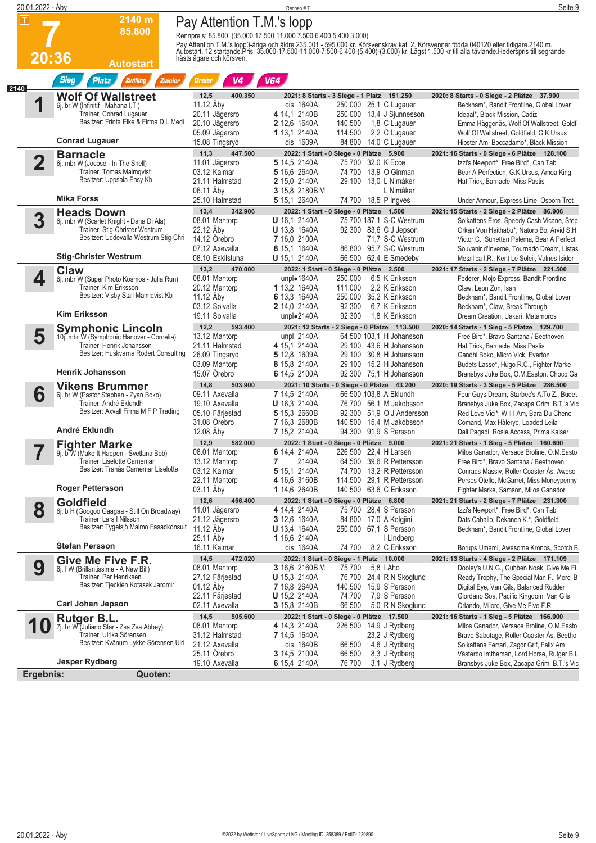|      | 20.01.2022 - Åby        |                                                                         |                                   | Rennen #7                                                                                                                                                                                                                        | Seite 9                                                                                   |
|------|-------------------------|-------------------------------------------------------------------------|-----------------------------------|----------------------------------------------------------------------------------------------------------------------------------------------------------------------------------------------------------------------------------|-------------------------------------------------------------------------------------------|
|      | $ \mathsf{T} $          | 2140 m                                                                  | Pay Attention T.M.'s lopp         |                                                                                                                                                                                                                                  |                                                                                           |
|      |                         | 85.800                                                                  |                                   | Rennpreis: 85.800 (35.000 17.500 11.000 7.500 6.400 5.400 3.000)                                                                                                                                                                 |                                                                                           |
|      |                         |                                                                         |                                   | Pay Attention T.M.'s lopp3-åriga och äldre 235.001 - 595.000 kr. Körsvenskrav kat. 2. Körsvenner födda 040120 eller tidigare 2140 m.<br>Autostart. 12 startande.Pris: 35.000-17.500-11.000-7.500-6.400-(5.400)-(3.000) kr. Lägst |                                                                                           |
|      | 20:36                   | <b>Autostart</b>                                                        | hästs ägare och körsven.          |                                                                                                                                                                                                                                  |                                                                                           |
|      |                         |                                                                         |                                   |                                                                                                                                                                                                                                  |                                                                                           |
| 2140 |                         | <b>Sieg</b><br>Zwilling<br><b>Platz</b><br>Zweier                       | V <sub>4</sub><br><b>Dreier</b>   | V64                                                                                                                                                                                                                              |                                                                                           |
|      |                         | <b>Wolf Of Wallstreet</b>                                               | 12,5<br>400.350                   | 2021: 8 Starts - 3 Siege - 1 Platz 151.250                                                                                                                                                                                       | 2020: 8 Starts - 0 Siege - 2 Plätze 37.900                                                |
|      | 1                       | 6j. br W (Infinitif - Mahana I.T.)<br>Trainer: Conrad Lugauer           | 11.12 Åby<br>20.11 Jägersro       | dis 1640A<br>250.000 25,1 C Lugauer<br>4 14,1 2140B<br>250.000 13,4 J Sjunnesson                                                                                                                                                 | Beckham*, Bandit Frontline, Global Lover<br>Ideaal*, Black Mission, Cadiz                 |
|      |                         | Besitzer: Frinta Elke & Firma D L Medi                                  | 20.10 Jägersro                    | 2 12,6 1640A<br>140.500<br>1,8 C Lugauer                                                                                                                                                                                         | Emma Häggenäs, Wolf Of Wallstreet, Goldfi                                                 |
|      |                         | <b>Conrad Lugauer</b>                                                   | 05.09 Jägersro                    | 114.500<br>1 13,1 2140A<br>2,2 C Lugauer<br>dis 1609A                                                                                                                                                                            | Wolf Of Wallstreet, Goldfield, G.K.Ursus                                                  |
|      |                         |                                                                         | 15.08 Tingsryd<br>11,3<br>447.500 | 84.800<br>14,0 C Lugauer<br>2022: 1 Start - 0 Siege - 0 Plätze 5.900                                                                                                                                                             | Hipster Am, Boccadamo*, Black Mission<br>2021: 16 Starts - 0 Siege - 6 Plätze 128.100     |
|      | $\overline{\mathbf{2}}$ | <b>Barnacle</b><br>6j. mbr W (Jocose - In The Shell)                    | 11.01 Jägersro                    | 5 14,5 2140A<br>75.700 32,0 K Ecce                                                                                                                                                                                               | Izzi's Newport*, Free Bird*, Can Tab                                                      |
|      |                         | Trainer: Tomas Malmqvist                                                | 03.12 Kalmar                      | 5 16,6 2640A<br>74.700 13,9 O Ginman                                                                                                                                                                                             | Bear A Perfection, G.K.Ursus, Amoa King                                                   |
|      |                         | Besitzer: Uppsala Easy Kb                                               | 21.11 Halmstad<br>06.11 Aby       | 2 15,0 2140A<br>29.100 13,0 L Nimåker<br>3 15,8 2180BM<br>L Nimåker                                                                                                                                                              | Hat Trick, Barnacle, Miss Pastis                                                          |
|      |                         | <b>Mika Forss</b>                                                       | 25.10 Halmstad                    | 74.700 18,5 P Ingves<br>5 15,1 2640A                                                                                                                                                                                             | Under Armour, Express Lime, Osborn Trot                                                   |
|      |                         | <b>Heads Down</b>                                                       | 13,4<br>342.906                   | 2022: 1 Start - 0 Siege - 0 Plätze 1.500                                                                                                                                                                                         | 2021: 15 Starts - 2 Siege - 2 Plätze 86.906                                               |
|      | 3                       | 6j. mbr W (Scarlet Knight - Dana Di Ala)                                | 08.01 Mantorp                     | <b>U</b> 16,1 2140A<br>75.700 187.1 S-C Westrum                                                                                                                                                                                  | Solkattens Eros, Speedy Cash Vicane, Step                                                 |
|      |                         | Trainer: Stig-Christer Westrum<br>Besitzer: Uddevalla Westrum Stig-Chri | 22.12 Aby<br>14.12 Örebro         | <b>U</b> 13.8 1640A<br>92.300 83,6 C J Jepson<br>7 16,0 2100A<br>71,7 S-C Westrum                                                                                                                                                | Orkan Von Haithabu*, Natorp Bo, Arvid S.H.<br>Victor C., Sunettan Palema, Bear A Perfecti |
|      |                         |                                                                         | 07.12 Axevalla                    | 8 15,1 1640A<br>86.800 95,7 S-C Westrum                                                                                                                                                                                          | Souvenir d'Inverne, Tournado Dream, Listas                                                |
|      |                         | <b>Stig-Christer Westrum</b>                                            | 08.10 Eskilstuna                  | 66.500 62,4 E Smedeby<br><b>U</b> 15,1 2140A                                                                                                                                                                                     | Metallica I.R., Kent Le Soleil, Valnes Isidor                                             |
|      | 4                       | <b>Claw</b>                                                             | 13,2<br>470.000<br>08.01 Mantorp  | 2022: 1 Start - 0 Siege - 0 Plätze 2.500<br>unpl $\bullet$ 1640A<br>6,5 K Eriksson<br>250.000                                                                                                                                    | 2021: 17 Starts - 2 Siege - 7 Plätze 221.500                                              |
|      |                         | 6j. mbr W (Super Photo Kosmos - Julia Run)<br>Trainer: Kim Eriksson     | 20.12 Mantorp                     | 2.2 K Eriksson<br>1 13,2 1640A<br>111.000                                                                                                                                                                                        | Federer, Mojo Express, Bandit Frontline<br>Claw. Leon Zon. Isan                           |
|      |                         | Besitzer: Visby Stall Malmqvist Kb                                      | 11.12 Aby                         | 6 13,3 1640A<br>250.000 35,2 K Eriksson                                                                                                                                                                                          | Beckham*, Bandit Frontline, Global Lover                                                  |
|      |                         | <b>Kim Eriksson</b>                                                     | 03.12 Solvalla<br>19.11 Solvalla  | 2 14,0 2140A<br>92.300<br>6.7 K Eriksson<br>92.300<br>1,8 K Eriksson<br>unpl $\bullet$ 2140A                                                                                                                                     | Beckham*, Claw, Break Through<br>Dream Creation, Uakari, Matamoros                        |
|      |                         |                                                                         | 12,2<br>593.400                   | 2021: 12 Starts - 2 Siege - 0 Plätze 113.500                                                                                                                                                                                     | 2020: 14 Starts - 1 Sieg - 5 Plätze 129.700                                               |
|      | 5                       | <b>Symphonic Lincoln</b><br>10j. mbr W (Symphonic Hanover - Cornelia)   | 13.12 Mantorp                     | 64.500 103.1 H Johansson<br>unpl $2140A$                                                                                                                                                                                         | Free Bird*, Bravo Santana / Beethoven                                                     |
|      |                         | Trainer: Henrik Johansson<br>Besitzer: Huskvarna Rodert Consulting      | 21.11 Halmstad                    | 4 15,1 2140A<br>29.100 43,6 H Johansson                                                                                                                                                                                          | Hat Trick, Barnacle, Miss Pastis                                                          |
|      |                         |                                                                         | 26.09 Tingsryd<br>03.09 Mantorp   | 5 12,8 1609A<br>29.100 30.8 H Johansson<br>8 15,8 2140A<br>29.100 15,2 H Johansson                                                                                                                                               | Gandhi Boko, Micro Vick, Everton<br>Budets Lasse*, Hugo R.C., Fighter Marke               |
|      |                         | <b>Henrik Johansson</b>                                                 | 15.07 Örebro                      | 6 14,5 2100A<br>92.300 75,1 H Johansson                                                                                                                                                                                          | Bransbys Juke Box, O.M. Easton, Choco Ga                                                  |
|      |                         | <b>Vikens Brummer</b>                                                   | 14,8<br>503.900                   | 2021: 10 Starts - 0 Siege - 0 Plätze 43.200                                                                                                                                                                                      | 2020: 19 Starts - 3 Siege - 5 Plätze 286.500                                              |
|      | 6                       | 6j. br W (Pastor Stephen - Zyan Boko)<br>Trainer: André Eklundh         | 09.11 Axevalla<br>19.10 Axevalla  | 7 14,5 2140A<br>66.500 103,8 A Eklundh<br><b>U</b> 16,3 2140A<br>76.700 56,1 M Jakobsson                                                                                                                                         | Four Guys Dream, Starbec's A.To Z., Budet<br>Bransbys Juke Box, Zacapa Grim, B.T.'s Vic   |
|      |                         | Besitzer: Axvall Firma M F P Trading                                    | 05.10 Färjestad                   | 5 15,3 2660B<br>92.300 51,9 O J Andersson                                                                                                                                                                                        | Red Love Vici*, Will I Am, Bara Du Chene                                                  |
|      |                         | André Eklundh                                                           | 31.08 Örebro                      | 7 16,3 2680B<br>140.500 15.4 M Jakobsson                                                                                                                                                                                         | Comand, Max Håleryd, Loaded Leila                                                         |
|      |                         |                                                                         | 12.08 Åby<br>12,9<br>582.000      | 7 15,2 2140A<br>94.300 91,9 S Persson<br>2022: 1 Start - 0 Siege - 0 Plätze 9.000                                                                                                                                                | Dali Pagadi, Rosie Access, Prima Kaiser<br>2021: 21 Starts - 1 Sieg - 5 Plätze 160.600    |
|      | I                       | <b>Fighter Marke</b><br>9j. b W (Make It Happen - Svetlana Bob)         | 08.01 Mantorp                     | 6 14,4 2140A<br>226.500 22,4 H Larsen                                                                                                                                                                                            | Milos Ganador, Versace Broline, O.M.Easto                                                 |
|      |                         | Trainer: Liselotte Carnemar<br>Besitzer: Tranås Carnemar Liselotte      | 13.12 Mantorp                     | 2140A<br>64.500 39,6 R Pettersson<br>7                                                                                                                                                                                           | Free Bird*, Bravo Santana / Beethoven                                                     |
|      |                         |                                                                         | 03.12 Kalmar<br>22.11 Mantorp     | 5 15,1 2140A<br>74.700 13,2 R Pettersson<br>4 16,6 3160B<br>114.500 29,1 R Pettersson                                                                                                                                            | Conrads Massiv, Roller Coaster As, Aweso<br>Persos Otello, McGarret, Miss Moneypenny      |
|      |                         | Roger Pettersson                                                        | 03.11 Aby                         | 1 14,6 2640B<br>140.500 63,6 C Eriksson                                                                                                                                                                                          | Fighter Marke, Samson, Milos Ganador                                                      |
|      |                         | Goldfield                                                               | 12,6<br>456,400                   | 2022: 1 Start - 0 Siege - 0 Plätze 6.800                                                                                                                                                                                         | 2021: 21 Starts - 2 Siege - 7 Plätze 231.300                                              |
|      | 8                       | 6j. b H (Googoo Gaagaa - Still On Broadway)<br>Trainer: Lars I Nilsson  | 11.01 Jägersro<br>21.12 Jägersro  | 4 14,4 2140A<br>75.700 28,4 S Persson<br><b>3</b> 12,6 1640A<br>84.800 17,0 A Kolgjini                                                                                                                                           | Izzi's Newport*, Free Bird*, Can Tab<br>Dats Caballo, Dekanen K.*, Goldfield              |
|      |                         | Besitzer: Tygelsjö Malmö Fasadkonsult                                   | 11.12 Åby                         | <b>U</b> 13,4 1640A<br>250.000 67,1 S Persson                                                                                                                                                                                    | Beckham*, Bandit Frontline, Global Lover                                                  |
|      |                         |                                                                         | 25.11 Aby                         | <b>1</b> 16,6 2140A<br>I Lindberg                                                                                                                                                                                                |                                                                                           |
|      |                         | <b>Stefan Persson</b>                                                   | 16.11 Kalmar                      | 8,2 C Eriksson<br>dis 1640A<br>74.700                                                                                                                                                                                            | Borups Umami, Awesome Kronos, Scotch B                                                    |
|      | 9                       | Give Me Five F.R.<br>6j. f W (Brillantissime - A New Bill)              | 14,5<br>472.020<br>08.01 Mantorp  | 2022: 1 Start - 0 Siege - 1 Platz 10.000<br>3 16,6 2160BM<br>75.700<br>5,8 I Aho                                                                                                                                                 | 2021: 13 Starts - 4 Siege - 2 Plätze 171.109<br>Dooley's U.N.G., Gubben Noak, Give Me Fi  |
|      |                         | Trainer: Per Henriksen                                                  | 27.12 Färjestad                   | <b>U</b> 15,3 2140A<br>76.700 24,4 R N Skoglund                                                                                                                                                                                  | Ready Trophy, The Special Man F., Merci B                                                 |
|      |                         | Besitzer: Tjeckien Kotasek Jaromir                                      | 01.12 Aby                         | 140.500 15,9 S Persson<br><b>7</b> 16,8 2640A                                                                                                                                                                                    | Digital Eye, Van Gils, Balanced Rudder                                                    |
|      |                         | <b>Carl Johan Jepson</b>                                                | 22.11 Färjestad<br>02.11 Axevalla | 74.700<br>7.9 S Persson<br><b>U</b> 15,2 2140A<br>66.500<br>3 15,8 2140B<br>5,0 R N Skoglund                                                                                                                                     | Giordano Soa, Pacific Kingdom, Van Gils<br>Orlando, Milord, Give Me Five F.R.             |
|      |                         | Rutger B.L.                                                             | 14,5<br>505.600                   | 2022: 1 Start - 0 Siege - 0 Plätze 17.500                                                                                                                                                                                        | 2021: 16 Starts - 1 Sieg - 5 Plätze 166.000                                               |
|      | Û                       | 7j. br W (Juliano Star - Zsa Zsa Abbey)                                 | 08.01 Mantorp                     | 4 14,3 2140A<br>226.500 14,9 J Rydberg                                                                                                                                                                                           | Milos Ganador, Versace Broline, O.M.Easto                                                 |
|      |                         | Trainer: Ulrika Sörensen<br>Besitzer: Kvänum Lykke Sörensen Ulri        | 31.12 Halmstad<br>21.12 Axevalla  | 7 14,5 1640A<br>23,2 J Rydberg<br>4,6 J Rydberg<br>dis 1640B<br>66.500                                                                                                                                                           | Bravo Sabotage, Roller Coaster Ås, Beetho<br>Solkattens Ferrari, Zagor Grif, Felix Am     |
|      |                         |                                                                         | 25.11 Orebro                      | 8,3 J Rydberg<br>3 14,5 2100A<br>66.500                                                                                                                                                                                          | Västerbo Imtheman, Lord Horse, Rutger B.L                                                 |
|      |                         | <b>Jesper Rydberg</b>                                                   | 19.10 Axevalla                    | 6 15,4 2140A<br>76.700<br>3,1 J Rydberg                                                                                                                                                                                          | Bransbys Juke Box, Zacapa Grim, B.T.'s Vic                                                |
|      | Ergebnis:               | Quoten:                                                                 |                                   |                                                                                                                                                                                                                                  |                                                                                           |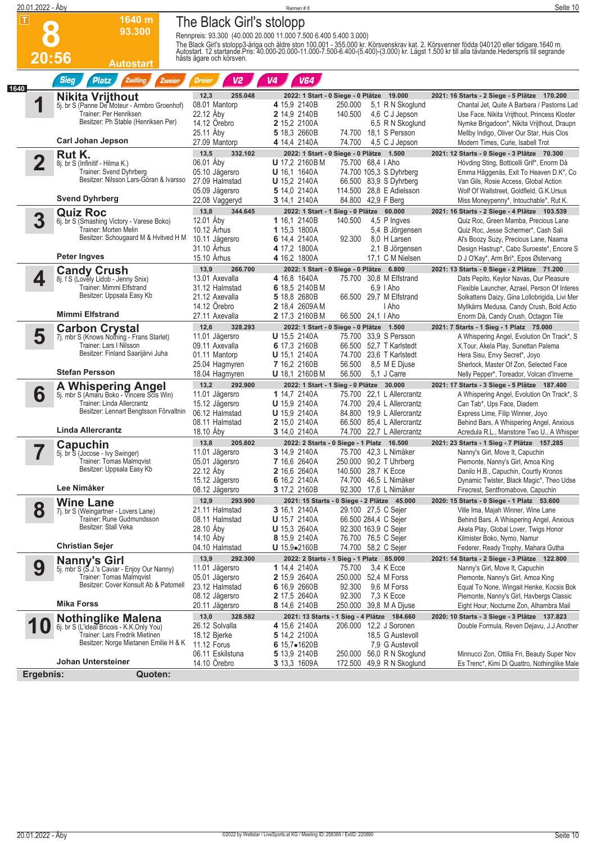|      | 20.01.2022 - Åby        |                                                                         |                                    | Rennen #8                                                                                       | Seite 10                                                                                                                                                                                                                          |
|------|-------------------------|-------------------------------------------------------------------------|------------------------------------|-------------------------------------------------------------------------------------------------|-----------------------------------------------------------------------------------------------------------------------------------------------------------------------------------------------------------------------------------|
|      | П                       | 1640 m                                                                  | The Black Girl's stolopp           |                                                                                                 |                                                                                                                                                                                                                                   |
|      |                         | 93.300                                                                  |                                    | Rennpreis: 93.300 (40.000 20.000 11.000 7.500 6.400 5.400 3.000)                                |                                                                                                                                                                                                                                   |
|      |                         |                                                                         |                                    |                                                                                                 | The Black Girl's stolopp3-åriga och äldre ston 100.001 - 355.000 kr. Körsvenskrav kat. 2. Körsvenner födda 040120 eller tidigare.1640 m.<br>Autostart. 12 startande.Pris: 40.000-20.000-11.000-7.500-6.400-(5.400)-(3.000) kr. Lä |
|      | 20:56                   | <b>Autostart</b>                                                        | hästs ägare och körsven.           |                                                                                                 |                                                                                                                                                                                                                                   |
|      |                         | <b>Sieg</b><br>Zwilling<br><b>Platz</b><br>Zweier                       | V2<br>Dreier                       | <b>V64</b><br>V <sub>4</sub>                                                                    |                                                                                                                                                                                                                                   |
| 1640 |                         | <b>Nikita Vrijthout</b>                                                 | 12,3<br>255.048                    | 2022: 1 Start - 0 Siege - 0 Plätze 19.000                                                       | 2021: 16 Starts - 2 Siege - 5 Plätze 170.200                                                                                                                                                                                      |
|      | 1                       | 5j. br S (Panne De Moteur - Armbro Groenhof)                            | 08.01 Mantorp                      | 4 15,9 2140B<br>5,1 R N Skoglund<br>250.000                                                     | Chantal Jet, Quite A Barbara / Pastorns Lad                                                                                                                                                                                       |
|      |                         | Trainer: Per Henriksen<br>Besitzer: Ph Stable (Henriksen Per)           | 22.12 Åby<br>14.12 Örebro          | 2 14,9 2140B<br>140.500<br>4.6 C J Jepson<br>2 15,2 2100A<br>6,5 R N Skoglund                   | Use Face, Nikita Vrijthout, Princess Kloster<br>Nymke Brigadoon*, Nikita Vrijthout, Draupn                                                                                                                                        |
|      |                         | <b>Carl Johan Jepson</b>                                                | 25.11 Aby                          | 5 18,3 2660B<br>74.700 18,1 S Persson                                                           | Mellby Indigo, Oliver Our Star, Huis Clos                                                                                                                                                                                         |
|      |                         | Rut K.                                                                  | 27.09 Mantorp<br>13,5<br>332.102   | 74.700<br>4,5 C J Jepson<br><b>4</b> 14,4 2140A<br>2022: 1 Start - 0 Siege - 0 Plätze 1.500     | Modern Times, Curie, Isabell Trot<br>2021: 12 Starts - 0 Siege - 3 Plätze 70.300                                                                                                                                                  |
|      | $\overline{\mathbf{2}}$ | 8j. br S (Infinitif - Hilma K.)                                         | 06.01 Aby                          | <b>U</b> 17,2 2160BM<br>75.700 68,4   Aho                                                       | Hövding Sting, Botticelli Grif*, Enorm Då                                                                                                                                                                                         |
|      |                         | Trainer: Svend Dyhrberg<br>Besitzer: Nilsson Lars-Göran & Ivarsso       | 05.10 Jägersro<br>27.09 Halmstad   | <b>U</b> 16,1 1640A<br>74.700 105,3 S Dyhrberg<br>66.500 83,9 S Dyhrberg<br><b>U</b> 15,2 2140A | Emma Häggenäs, Exit To Heaven D.K*, Co<br>Van Gils, Rosie Access, Global Action                                                                                                                                                   |
|      |                         |                                                                         | 05.09 Jägersro                     | 5 14,0 2140A<br>114.500 28,8 E Adielsson                                                        | Wolf Of Wallstreet, Goldfield, G.K.Ursus                                                                                                                                                                                          |
|      |                         | <b>Svend Dyhrberg</b>                                                   | 22.08 Vaggeryd                     | 3 14,1 2140A<br>84.800 42,9 F Berg                                                              | Miss Moneypenny*, Intouchable*, Rut K.                                                                                                                                                                                            |
|      | 3                       | <b>Quiz Roc</b><br>6j. br S (Smashing Victory - Varese Boko)            | 13,8<br>344.645<br>12.01 Åby       | 2022: 1 Start - 1 Sieg - 0 Plätze 60.000<br>1 16.1 2140B<br>140.500<br>4,5 P Ingves             | 2021: 16 Starts - 2 Siege - 4 Plätze 103.539<br>Quiz Roc, Green Mamba, Precious Lane                                                                                                                                              |
|      |                         | Trainer: Morten Melin<br>Besitzer: Schougaard M & Hvitved H M           | 10.12 Århus                        | 1 15,3 1800A<br>5,4 B Jörgensen                                                                 | Quiz Roc, Jesse Schermer*, Cash Sali                                                                                                                                                                                              |
|      |                         |                                                                         | 10.11 Jägersro<br>31.10 Arhus      | 92.300<br>8,0 H Larsen<br>6 14,4 2140A<br>4 17,2 1800A<br>2,1 B Jörgensen                       | Al's Boozy Suzy, Precious Lane, Naama<br>Design Hastrup*, Cabo Suroeste*, Encore S                                                                                                                                                |
|      |                         | Peter Ingves                                                            | 15.10 Arhus                        | 4 16,2 1800A<br>17,1 C M Nielsen                                                                | D J O'Kay*, Arm Bri*, Epos Østervang                                                                                                                                                                                              |
|      | 4                       | <b>Candy Crush</b><br>8j. f S (Lovely Lidob - Jenny Snix)               | 13,9<br>266.700<br>13.01 Axevalla  | 2022: 1 Start - 0 Siege - 0 Plätze 6.800<br>4 16,8 1640A<br>75.700 30,8 M Elfstrand             | 2021: 13 Starts - 0 Siege - 2 Plätze 71.200<br>Dats Pepito, Keylor Navas, Our Pleasure                                                                                                                                            |
|      |                         | Trainer: Mimmi Elfstrand                                                | 31.12 Halmstad                     | 6 18,5 2140BM<br>6.9   Aho                                                                      | Flexible Launcher, Azrael, Person Of Interes                                                                                                                                                                                      |
|      |                         | Besitzer: Uppsala Easy Kb                                               | 21.12 Axevalla<br>14.12 Orebro     | 5 18,8 2680B<br>66.500 29,7 M Elfstrand<br>2 18,4 2609AM<br>l Aho                               | Solkattens Daizy, Gina Lollobrigida, Livi Mer<br>Myllkärrs Medusa, Candy Crush, Bold Actio                                                                                                                                        |
|      |                         | <b>Mimmi Elfstrand</b>                                                  | 27.11 Axevalla                     | 2 17,3 2160BM<br>66.500 24,1   Aho                                                              | Enorm Då, Candy Crush, Octagon Tile                                                                                                                                                                                               |
|      | 5                       | <b>Carbon Crystal</b>                                                   | 12,6<br>328.293                    | 2022: 1 Start - 0 Siege - 0 Plätze 1.500                                                        | 2021: 7 Starts - 1 Sieg - 1 Platz 75.000                                                                                                                                                                                          |
|      |                         | 7j. mbr S (Knows Nothing - Frans Starlet)<br>Trainer: Lars I Nilsson    | 11.01 Jägersro<br>09.11 Axevalla   | <b>U</b> 15,5 2140A<br>75.700 33,9 S Persson<br>6 17,3 2160B<br>66.500 52,7 T Karlstedt         | A Whispering Angel, Evolution On Track*, S<br>X. Tour, Akela Play, Sunettan Palema                                                                                                                                                |
|      |                         | Besitzer: Finland Saarijärvi Juha                                       | 01.11 Mantorp                      | <b>U</b> 15,1 2140A<br>74.700 23,6 T Karlstedt                                                  | Hera Sisu, Envy Secret*, Joyo                                                                                                                                                                                                     |
|      |                         | <b>Stefan Persson</b>                                                   | 25.04 Hagmyren<br>18.04 Hagmyren   | 7 16,2 2160B<br>56.500<br>8,5 M E Djuse<br>56.500<br><b>U</b> 18,1 2160BM<br>5.1 J Carre        | Sherlock, Master Of Zon, Selected Face<br>Nelly Pepper*, Toreador, Volcan d'Inverne                                                                                                                                               |
|      |                         | <b>A Whispering Angel</b><br>5j. mbr S (Amaru Boko - Vincere Scis Win)  | 13,2<br>292.900                    | 2022: 1 Start - 1 Sieg - 0 Plätze 30.000                                                        | 2021: 17 Starts - 3 Siege - 5 Plätze 187.400                                                                                                                                                                                      |
|      | 6                       | Trainer: Linda Allercrantz                                              | 11.01 Jägersro<br>15.12 Jägersro   | 1 14,7 2140A<br>75.700 22,1 L Allercrantz<br><b>U</b> 15,9 2140A<br>74.700 29.4 L Allercrantz   | A Whispering Angel, Evolution On Track*, S<br>Can Tab*, Ups Face, Diadem                                                                                                                                                          |
|      |                         | Besitzer: Lennart Bengtsson Förvaltnin                                  | 06.12 Halmstad                     | <b>U</b> 15,9 2140A<br>84.800 19,9 L Allercrantz                                                | Express Lime, Filip Winner, Joyo                                                                                                                                                                                                  |
|      |                         | <b>Linda Allercrantz</b>                                                | 08.11 Halmstad<br>18.10 Aby        | 66.500 85,4 L Allercrantz<br>2 15,0 2140A<br>74.700 22,7 L Allercrantz<br><b>3</b> 14,0 2140A   | Behind Bars, A Whispering Angel, Anxious<br>Acredula R.L., Manstone Two U., A Whisper                                                                                                                                             |
|      |                         | <b>Capuchin</b>                                                         | 13,8<br>205.802                    | 2022: 2 Starts - 0 Siege - 1 Platz 16.500                                                       | 2021: 23 Starts - 1 Sieg - 7 Plätze 157.285                                                                                                                                                                                       |
|      |                         | 5j. br S (Jocose - Ivy Swinger)<br>Trainer: Tomas Malmqvist             | 11.01 Jägersro<br>05.01 Jägersro   | 3 14,9 2140A<br>75.700 42,3 L Nimåker<br>250.000 90,2 T Uhrberg<br><b>7</b> 16,6 2640A          | Nanny's Girl, Move It, Capuchin<br>Piemonte, Nanny's Girl, Amoa King                                                                                                                                                              |
|      |                         | Besitzer: Uppsala Easy Kb                                               | 22.12 Åby                          | 140.500 28,7 K Ecce<br>2 16,6 2640A                                                             | Danilo H.B., Capuchin, Courtly Kronos                                                                                                                                                                                             |
|      |                         | Lee Nimåker                                                             | 15.12 Jägersro<br>08.12 Jägersro   | 6 16,2 2140A<br>74.700 46,5 L Nimåker<br>3 17,2 2160B<br>92.300 17,6 L Nimåker                  | Dynamic Twister, Black Magic*, Theo Udse<br>Firecrest, Sentfromabove, Capuchin                                                                                                                                                    |
|      |                         | <b>Wine Lane</b>                                                        | 12,9<br>293.900                    | 2021: 15 Starts - 0 Siege - 2 Plätze 45.000                                                     | 2020: 15 Starts - 0 Siege - 1 Platz 53.600                                                                                                                                                                                        |
|      | 8                       | 7j. br S (Weingartner - Lovers Lane)                                    | 21.11 Halmstad                     | 29.100 27,5 C Sejer<br><b>3</b> 16,1 2140A                                                      | Ville Ima, Majah Winner, Wine Lane                                                                                                                                                                                                |
|      |                         | Trainer: Rune Gudmundsson<br>Besitzer: Stall Veka                       | 08.11 Halmstad<br>28.10 Aby        | <b>U</b> 15,7 2140A<br>66.500 284,4 C Sejer<br>U 15,3 2640A<br>92.300 163,9 C Sejer             | Behind Bars, A Whispering Angel, Anxious<br>Akela Play, Global Lover, Twigs Honor                                                                                                                                                 |
|      |                         | <b>Christian Sejer</b>                                                  | 14.10 Aby                          | 8 15,9 2140A<br>76.700 76,5 C Sejer                                                             | Kilmister Boko, Nymo, Namur                                                                                                                                                                                                       |
|      |                         |                                                                         | 04.10 Halmstad<br>13,9<br>292.300  | U 15,9•2160B<br>74.700 58,2 C Sejer<br>2022: 2 Starts - 1 Sieg - 1 Platz 85.000                 | Federer, Ready Trophy, Mahara Gutha<br>2021: 14 Starts - 2 Siege - 3 Plätze 122.800                                                                                                                                               |
|      | 9                       | <b>Nanny's Girl</b><br>5j. mbr S (S.J.'s Caviar - Enjoy Our Nanny)      | 11.01 Jägersro                     | 1 14,4 2140A<br>3,4 K Ecce<br>75.700                                                            | Nanny's Girl, Move It, Capuchin                                                                                                                                                                                                   |
|      |                         | Trainer: Tomas Malmqvist<br>Besitzer: Cover Konsult Ab & Patomell       | 05.01 Jägersro<br>23.12 Halmstad   | 2 15,9 2640A<br>250.000 52,4 M Forss<br>6 16,9 2660B<br>92.300<br>9,6 M Forss                   | Piemonte, Nanny's Girl, Amoa King<br>Equal To None, Wingait Henke, Kocsis Bok                                                                                                                                                     |
|      |                         |                                                                         | 08.12 Jägersro                     | 2 17,5 2640A<br>92.300<br>7,3 K Ecce                                                            | Piemonte, Nanny's Girl, Havbergs Classic                                                                                                                                                                                          |
|      |                         | <b>Mika Forss</b>                                                       | 20.11 Jägersro                     | 8 14,6 2140B<br>250.000 39,8 M A Djuse                                                          | Eight Hour, Nocturne Zon, Alhambra Mail                                                                                                                                                                                           |
|      |                         | <b>Nothinglike Malena</b><br>6j. br S (L'ideal Bricois - K.K.Only You)  | 13,0<br>328.582<br>26.12 Solvalla  | 2021: 13 Starts - 1 Sieg - 4 Plätze 184.660<br>206.000 12,2 J Soronen<br>4 15,6 2140A           | 2020: 10 Starts - 3 Siege - 3 Plätze 137.823<br>Double Formula, Reven Dejavu, J.J.Another                                                                                                                                         |
|      |                         | Trainer: Lars Fredrik Mietinen<br>Besitzer: Norge Mietanen Emilie H & K | 18.12 Bjerke<br><b>11.12 Forus</b> | 5 14,2 2100A<br>18,5 G Austevoll<br>7,9 G Austevoll                                             |                                                                                                                                                                                                                                   |
|      |                         |                                                                         | 06.11 Eskilstuna                   | 6 $15,7 \bullet 1620B$<br>5 13,9 2140B<br>250.000 56,0 R N Skoglund                             | Minnucci Zon, Ottilia Fri, Beauty Super Nov                                                                                                                                                                                       |
|      |                         | Johan Untersteiner                                                      | 14.10 Orebro                       | 3 13,3 1609A<br>172.500 49,9 R N Skoglund                                                       | Es Trenc*, Kimi Di Quattro, Nothinglike Male                                                                                                                                                                                      |
|      | Ergebnis:               | Quoten:                                                                 |                                    |                                                                                                 |                                                                                                                                                                                                                                   |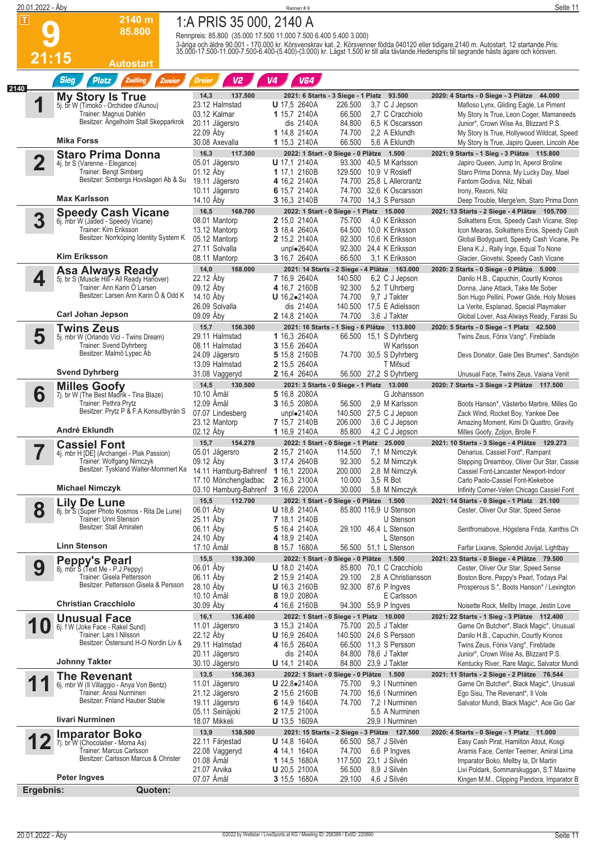| 20.01.2022 - Åby        |                                                                       |                                                                  | Rennen #9                                |                                                                          | Seite 11                                                                                                                                                                                                                          |
|-------------------------|-----------------------------------------------------------------------|------------------------------------------------------------------|------------------------------------------|--------------------------------------------------------------------------|-----------------------------------------------------------------------------------------------------------------------------------------------------------------------------------------------------------------------------------|
| $\overline{\mathbf{r}}$ | 2140 m                                                                | 1:A PRIS 35 000, 2140 A                                          |                                          |                                                                          |                                                                                                                                                                                                                                   |
|                         | 85.800                                                                | Rennpreis: 85.800 (35.000 17.500 11.000 7.500 6.400 5.400 3.000) |                                          |                                                                          |                                                                                                                                                                                                                                   |
|                         | 21:15                                                                 |                                                                  |                                          |                                                                          | 3-åriga och äldre 90.001 - 170.000 kr. Körsvenskrav kat. 2. Körsvenner födda 040120 eller tidigare 2140 m. Autostart. 12 startande Pris:<br>35.000-17.500-11.000-7.500-6.400-(5.400)-(3.000) kr. Lägst 1.500 kr till alla tävland |
|                         | <b>Autostart</b>                                                      |                                                                  |                                          |                                                                          |                                                                                                                                                                                                                                   |
| 2140                    | <b>Sieg</b><br><b>Platz</b><br><b>Zwilling</b><br>Zweier              | <b>Dreier</b><br>V <sub>2</sub>                                  | V <sub>4</sub><br><b>V64</b>             |                                                                          |                                                                                                                                                                                                                                   |
|                         | <b>My Story Is True</b><br>5j. br W (Timoko - Orchidee d'Aunou)       | 137.500<br>14,3<br>23.12 Halmstad                                | <b>U</b> 17,5 2640A                      | 2021: 6 Starts - 3 Siege - 1 Platz 93.500<br>3,7 C J Jepson<br>226,500   | 2020: 4 Starts - 0 Siege - 3 Plätze 44.000<br>Mafioso Lynx, Gliding Eagle, Le Piment                                                                                                                                              |
|                         | Trainer: Magnus Dahlén<br>Besitzer: Angelholm Stall Skepparkrok       | 03.12 Kalmar                                                     | 1 15,7 2140A                             | 66.500<br>2,7 C Cracchiolo                                               | My Story Is True, Leon Coger, Mamaneeds                                                                                                                                                                                           |
|                         |                                                                       | 20.11 Jägersro<br>22.09 Aby                                      | dis 2140A<br>1 14,8 2140A                | 84.800<br>6.5 K Oscarsson<br>74.700<br>2.2 A Eklundh                     | Junior*, Crown Wise As, Blizzard P.S.<br>My Story Is True, Hollywood Wildcat, Speed                                                                                                                                               |
|                         | <b>Mika Forss</b>                                                     | 30.08 Axevalla                                                   | 1 15,3 2140A                             | 66.500<br>5,6 A Eklundh                                                  | My Story Is True, Japiro Queen, Lincoln Abe                                                                                                                                                                                       |
| $\overline{\mathbf{2}}$ | <b>Staro Prima Donna</b>                                              | 16,3<br>117.300                                                  | <b>U</b> 17,1 2140A                      | 2022: 1 Start - 0 Siege - 0 Plätze 1.500<br>93.300 40,5 M Karlsson       | 2021: 9 Starts - 1 Sieg - 3 Plätze 115.800                                                                                                                                                                                        |
|                         | 4. br S (Varenne - Elegance)<br>Trainer: Bengt Simberg                | 05.01 Jägersro<br>01.12 Åby                                      | 1 17,1 2160B                             | 129.500 10.9 V Rosleff                                                   | Japiro Queen, Jump In, Aperol Broline<br>Staro Prima Donna, My Lucky Day, Mael                                                                                                                                                    |
|                         | Besitzer: Simbergs Hovslageri Ab & Su                                 | 19.11 Jägersro                                                   | 4 16,2 2140A                             | 74.700 25,8 L Allercrantz                                                | Fantom Godiva, Nilz, Nibali                                                                                                                                                                                                       |
|                         | <b>Max Karlsson</b>                                                   | 10.11 Jägersro<br>14.10 Aby                                      | 6 15,7 2140A<br>3 16,3 2140B             | 74.700 32,6 K Oscarsson<br>74.700 14.3 S Persson                         | Irony, Rexoni, Nilz<br>Deep Trouble, Merge'em, Staro Prima Donn                                                                                                                                                                   |
|                         | Speedy Cash Vicane<br>6j. mbr W (Jaded - Speedy Vicane)               | 16,5<br>168.700                                                  |                                          | 2022: 1 Start - 0 Siege - 1 Platz 15.000                                 | 2021: 13 Starts - 2 Siege - 4 Plätze 105.700                                                                                                                                                                                      |
| 3                       | Trainer: Kim Eriksson                                                 | 08.01 Mantorp<br>13.12 Mantorp                                   | 2 15,0 2140A<br>3 18,4 2640A             | 4,0 K Eriksson<br>75.700<br>64.500 10,0 K Eriksson                       | Solkattens Eros, Speedy Cash Vicane, Step<br>Icon Mearas, Solkattens Eros, Speedy Cash                                                                                                                                            |
|                         | Besitzer: Norrköping Identity System K                                | 05.12 Mantorp                                                    | 2 15,2 2140A                             | 92.300 10,6 K Eriksson                                                   | Global Bodyguard, Speedy Cash Vicane, Pe                                                                                                                                                                                          |
|                         | <b>Kim Eriksson</b>                                                   | 27.11 Solvalla                                                   | unpl $\bullet$ 2640A                     | 92.300 24,4 K Eriksson                                                   | Elena K.J., Rally Inge, Equal To None                                                                                                                                                                                             |
|                         |                                                                       | 08.11 Mantorp<br>14,0<br>168.000                                 | 3 16,7 2640A                             | 66.500<br>3,1 K Eriksson<br>2021: 14 Starts - 2 Siege - 4 Plätze 163.000 | Glacier, Giovetsi, Speedy Cash Vicane<br>2020: 2 Starts - 0 Siege - 0 Plätze 5.000                                                                                                                                                |
| 4                       | <b>Asa Always Ready</b><br>5j. br S (Muscle Hill - All Ready Hanover) | 22.12 Åby                                                        | <b>7</b> 16,9 2640A                      | 140.500<br>6,2 C J Jepson                                                | Danilo H.B., Capuchin, Courtly Kronos                                                                                                                                                                                             |
|                         | Trainer: Ann Karin Ö Larsen<br>Besitzer: Larsen Ann Karin O & Odd K   | 09.12 Åby<br>14.10 Åby                                           | 4 16,7 2160B<br>$U$ 16,2 $\bullet$ 2140A | 92.300<br>5,2 T Uhrberg<br>9,7 J Takter<br>74.700                        | Donna, Jane Attack, Take Me Sober<br>Son Hugo Pellini, Power Glide, Holy Moses                                                                                                                                                    |
|                         |                                                                       | 26.09 Solvalla                                                   | dis 2140A                                | 140.500 17,5 E Adielsson                                                 | La Verite, Esplanad, Special Playmaker                                                                                                                                                                                            |
|                         | <b>Carl Johan Jepson</b>                                              | 09.09 Åby                                                        | 2 14,8 2140A                             | 74.700<br>3.6 J Takter                                                   | Global Lover, Asa Always Ready, Farasi Su                                                                                                                                                                                         |
| 5                       | <b>Twins Zeus</b><br>5j. mbr W (Orlando Vici - Twins Dream)           | 15,7<br>156.300<br>29.11 Halmstad                                | 1 16,3 2640A                             | 2021: 16 Starts - 1 Sieg - 6 Plätze 113.800<br>66.500 15,1 S Dyhrberg    | 2020: 5 Starts - 0 Siege - 1 Platz 42.500<br>Twins Zeus, Fönix Vang*, Fireblade                                                                                                                                                   |
|                         | Trainer: Svend Dyhrberg                                               | 08.11 Halmstad                                                   | 3 15,6 2640A                             | W Karlsson                                                               |                                                                                                                                                                                                                                   |
|                         | Besitzer: Malmö Lypec Ab                                              | 24.09 Jägersro<br>13.09 Halmstad                                 | 5 15,8 2160B<br>2 15,5 2640A             | 74.700 30,5 S Dyhrberg<br>T Mifsud                                       | Devs Donator, Gaie Des Brumes*, Sandsjön                                                                                                                                                                                          |
|                         | <b>Svend Dyhrberg</b>                                                 | 31.08 Vaggeryd                                                   | 2 16,4 2640A                             | 56.500 27,2 S Dyhrberg                                                   | Unusual Face, Twins Zeus, Vaiana Venit                                                                                                                                                                                            |
|                         | <b>Milles Goofy</b>                                                   | 14,5<br>130.500                                                  |                                          | 2021: 3 Starts - 0 Siege - 1 Platz 13.000                                | 2020: 7 Starts - 3 Siege - 2 Plätze 117.500                                                                                                                                                                                       |
| 6                       | 7j. br W (The Best Madrik - Tina Blaze)<br>Trainer: Pethra Prytz      | 10.10 Amål<br>12.09 Åmål                                         | 5 16.8 2080A<br>3 16,5 2080A             | G Johansson<br>2,9 M Karlsson<br>56.500                                  | Boots Hanson*, Västerbo Marbre, Milles Go                                                                                                                                                                                         |
|                         | Besitzer: Prytz P & F:A Konsultbyrån S                                | 07.07 Lindesberg                                                 | unplo2140A                               | 140.500 27,5 C J Jepson                                                  | Zack Wind, Rocket Boy, Yankee Dee                                                                                                                                                                                                 |
|                         | André Eklundh                                                         | 23.12 Mantorp<br>02.12 Åby                                       | 7 15,7 2140B<br>1 16,9 2140A             | 206.000<br>3,6 C J Jepson<br>85.800<br>4,2 C J Jepson                    | Amazing Moment, Kimi Di Quattro, Gravity<br>Milles Goofy, Zoljon, Brolle F.                                                                                                                                                       |
|                         | <b>Cassiel Font</b>                                                   | 15,7<br>154.278                                                  |                                          | 2022: 1 Start - 0 Siege - 1 Platz 25.000                                 | 2021: 10 Starts - 3 Siege - 4 Plätze 129.273                                                                                                                                                                                      |
|                         | 4j. mbr H [DE] (Archangel - Plak Passion)                             | 05.01 Jägersro                                                   | 2 15,7 2140A                             | 7,1 M Nimczyk<br>114.500                                                 | Denarius, Cassiel Font*, Rampant                                                                                                                                                                                                  |
|                         | Trainer: Wolfgang Nimczyk<br>Besitzer: Tyskland Walter-Mommert Ka     | 09.12 Aby<br>14.11 Hamburg-Bahrenf                               | 3 17,4 2640B<br>1 16,1 2200A             | 92.300<br>5,2 M Nimczyk<br>200.000<br>2,8 M Nimczyk                      | Stepping Dreamboy, Oliver Our Star, Cassie<br>Cassiel Font-Lancaster Newport-Indoor                                                                                                                                               |
|                         | <b>Michael Nimczyk</b>                                                | 17.10 Mönchengladbac                                             | 2 16,3 2100A                             | 10.000<br>3,5 R Bot                                                      | Carlo Paolo-Cassiel Font-Kiekeboe                                                                                                                                                                                                 |
|                         |                                                                       | 03.10 Hamburg-Bahrenf<br>15,5<br>112.700                         | 3 16,6 2200A                             | 30.000<br>5,8 M Nimczyk<br>2022: 1 Start - 0 Siege - 0 Plätze 1.500      | Infinity Corner-Velen Chicago Cassiel Font<br>2021: 14 Starts - 0 Siege - 1 Platz 21.100                                                                                                                                          |
| 8                       | Lily De Lune<br>8j. br S (Super Photo Kosmos - Rita De Lune)          | 06.01 Åby                                                        | <b>U</b> 18,8 2140A                      | 85.800 116,9 U Stenson                                                   | Cester, Oliver Our Star, Speed Sense                                                                                                                                                                                              |
|                         | Trainer: Unni Stenson<br>Besitzer: Stall Amiralen                     | 25.11 Aby<br>06.11 Aby                                           | 7 18,1 2140B<br>5 16,4 2140A             | U Stenson<br>29.100 46.4 L Stenson                                       |                                                                                                                                                                                                                                   |
|                         |                                                                       | 24.10 Åby                                                        | 4 18,9 2140A                             | L Stenson                                                                | Sentfromabove, Högstena Frida, Xanthis Ch                                                                                                                                                                                         |
|                         | <b>Linn Stenson</b>                                                   | 17.10 Amål                                                       | 8 15,7 1680A                             | 56.500 51,1 L Stenson                                                    | Farfar Lixarve, Splendid Jovijal, Lightbay                                                                                                                                                                                        |
| 9                       | <b>Peppy's Pearl</b><br>8. mbr S (Text Me - P.J.Peppy)                | 15,5<br>139.300<br>06.01 Aby                                     | <b>U</b> 18,0 2140A                      | 2022: 1 Start - 0 Siege - 0 Plätze 1.500<br>85.800 70,1 C Cracchiolo     | 2021: 23 Starts - 0 Siege - 4 Plätze 79.500<br>Cester, Oliver Our Star, Speed Sense                                                                                                                                               |
|                         | Trainer: Gisela Pettersson                                            | 06.11 Aby                                                        | 2 15,9 2140A                             | 29.100<br>2,8 A Christiansson                                            | Boston Bore, Peppy's Pearl, Todays Pal                                                                                                                                                                                            |
|                         | Besitzer: Pettersson Gisela & Persson                                 | 28.10 Åby<br>10.10 Amål                                          | <b>U</b> 16,3 2160B<br>8 19,0 2080A      | 92.300 87,6 P Ingves<br>E Carlsson                                       | Prosperous S.*, Boots Hanson* / Lexington                                                                                                                                                                                         |
|                         | <b>Christian Cracchiolo</b>                                           | 30.09 Aby                                                        | 4 16,6 2160B                             | 94.300 55,9 P Ingves                                                     | Noisette Rock, Mellby Image, Jestin Love                                                                                                                                                                                          |
| 1                       | <b>Unusual Face</b>                                                   | 136.400<br>16,1                                                  |                                          | 2022: 1 Start - 0 Siege - 1 Platz 10.000                                 | 2021: 22 Starts - 1 Sieg - 3 Plätze 112.400                                                                                                                                                                                       |
|                         | U<br>6j. f W (Joke Face - Rakel Sund)<br>Trainer: Lars I Nilsson      | 11.01 Jägersro<br>22.12 Åby                                      | 3 15,3 2140A<br><b>U</b> 16,9 2640A      | 75.700 20,5 J Takter<br>140.500 24,6 S Persson                           | Game On Butcher*, Black Magic*, Unusual<br>Danilo H.B., Capuchin, Courtly Kronos                                                                                                                                                  |
|                         | Besitzer: Ostersund H-O Nordin Liv &                                  | 29.11 Halmstad                                                   | 4 16,5 2640A                             | 66.500 11,3 S Persson                                                    | Twins Zeus, Fönix Vang*, Fireblade                                                                                                                                                                                                |
|                         | <b>Johnny Takter</b>                                                  | 20.11 Jägersro<br>30.10 Jägersro                                 | dis 2140A<br><b>U</b> 14,1 2140A         | 84.800 78,6 J Takter<br>84.800 23,9 J Takter                             | Junior*, Crown Wise As, Blizzard P.S.<br>Kentucky River, Rare Magic, Salvator Mundi                                                                                                                                               |
|                         | <b>The Revenant</b>                                                   | 13,5<br>156.363                                                  |                                          | 2022: 1 Start - 0 Siege - 0 Plätze 1.500                                 | 2021: 11 Starts - 2 Siege - 2 Plätze 76.544                                                                                                                                                                                       |
| 1                       | 6j. mbr W (Il Villaggio - Anya Von Bentz)<br>Trainer: Anssi Nurminen  | 11.01 Jägersro<br>21.12 Jägersro                                 | $U$ 22,8 $\bullet$ 2140A<br>2 15,6 2160B | 75.700<br>9.3   Nurminen<br>74.700 16,6   Nurminen                       | Game On Butcher*, Black Magic*, Unusual                                                                                                                                                                                           |
|                         | Besitzer: Fnland Hauber Stable                                        | 19.11 Jägersro                                                   | 6 14,9 1640A                             | 74.700<br>7,2   Nurminen                                                 | Ego Sisu, The Revenant*, Il Vole<br>Salvator Mundi, Black Magic*, Ace Gio Gar                                                                                                                                                     |
|                         | livari Nurminen                                                       | 05.11 Seinäjoki                                                  | <b>2</b> 17,5 2100A                      | 5,5 A Nurminen                                                           |                                                                                                                                                                                                                                   |
|                         |                                                                       | 18.07 Mikkeli<br>13,9<br>138.500                                 | <b>U</b> 13,5 1609A                      | 29,9   Nurminen<br>2021: 15 Starts - 2 Siege - 3 Plätze 127.500          | 2020: 4 Starts - 0 Siege - 1 Platz 11.000                                                                                                                                                                                         |
|                         | <b>Imparator Boko</b><br>7j. br W (Chocolatier - Moma As)             | 22.11 Färjestad                                                  | <b>U</b> 14,8 1640A                      | 66.500 58,7 J Silvén                                                     | Easy Cash Pirat, Hamilton Atout, Kosgi                                                                                                                                                                                            |
|                         | Trainer: Marcus Carlsson<br>Besitzer: Carlsson Marcus & Christer      | 22.08 Vaggeryd<br>01.08 Åmål                                     | 4 14,1 1640A<br>1 14,5 1680A             | 74.700<br>6,6 P Ingves<br>117.500 23,1 J Silvén                          | Aramis Face, Center Teemer, Amiral Lima<br>Imparator Boko, Mellby Ia, Dr Martin                                                                                                                                                   |
|                         |                                                                       | 21.07 Arvika                                                     | U 20,5 2100A                             | 56.500<br>8,9 J Silvén                                                   | Livi Poldark, Sommarskuggan, S:T Maxime                                                                                                                                                                                           |
|                         | Peter Ingves                                                          | 07.07 Åmål                                                       | 3 15,5 1680A                             | 29.100<br>4,6 J Silvén                                                   | Kingen M.M., Clipping Pandora, Imparator B                                                                                                                                                                                        |

**Ergebnis: Quoten:**